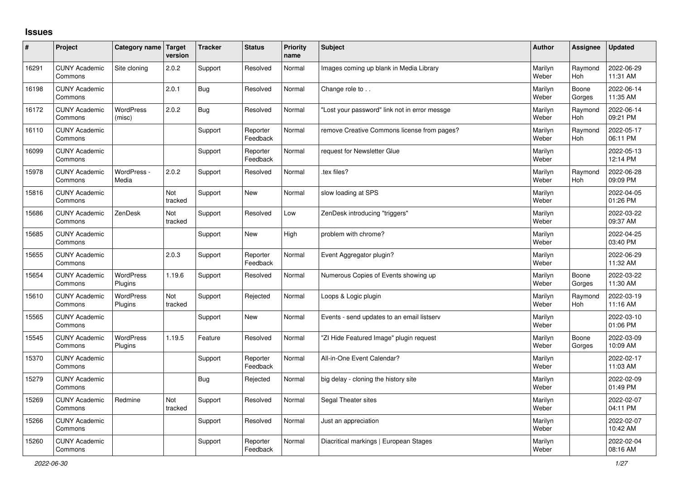## **Issues**

| ∦     | Project                         | Category name Target        | version        | <b>Tracker</b> | <b>Status</b>        | <b>Priority</b><br>name | <b>Subject</b>                                | Author           | Assignee              | <b>Updated</b>         |
|-------|---------------------------------|-----------------------------|----------------|----------------|----------------------|-------------------------|-----------------------------------------------|------------------|-----------------------|------------------------|
| 16291 | <b>CUNY Academic</b><br>Commons | Site cloning                | 2.0.2          | Support        | Resolved             | Normal                  | Images coming up blank in Media Library       | Marilyn<br>Weber | Raymond<br>Hoh        | 2022-06-29<br>11:31 AM |
| 16198 | <b>CUNY Academic</b><br>Commons |                             | 2.0.1          | <b>Bug</b>     | Resolved             | Normal                  | Change role to                                | Marilyn<br>Weber | Boone<br>Gorges       | 2022-06-14<br>11:35 AM |
| 16172 | <b>CUNY Academic</b><br>Commons | <b>WordPress</b><br>(misc)  | 2.0.2          | <b>Bug</b>     | Resolved             | Normal                  | 'Lost your password" link not in error messge | Marilyn<br>Weber | Raymond<br>Hoh        | 2022-06-14<br>09:21 PM |
| 16110 | <b>CUNY Academic</b><br>Commons |                             |                | Support        | Reporter<br>Feedback | Normal                  | remove Creative Commons license from pages?   | Marilyn<br>Weber | Raymond<br>Hoh        | 2022-05-17<br>06:11 PM |
| 16099 | <b>CUNY Academic</b><br>Commons |                             |                | Support        | Reporter<br>Feedback | Normal                  | request for Newsletter Glue                   | Marilyn<br>Weber |                       | 2022-05-13<br>12:14 PM |
| 15978 | <b>CUNY Academic</b><br>Commons | WordPress -<br>Media        | 2.0.2          | Support        | Resolved             | Normal                  | tex files?                                    | Marilyn<br>Weber | Raymond<br>Hoh        | 2022-06-28<br>09:09 PM |
| 15816 | <b>CUNY Academic</b><br>Commons |                             | Not<br>tracked | Support        | <b>New</b>           | Normal                  | slow loading at SPS                           | Marilyn<br>Weber |                       | 2022-04-05<br>01:26 PM |
| 15686 | <b>CUNY Academic</b><br>Commons | ZenDesk                     | Not<br>tracked | Support        | Resolved             | Low                     | ZenDesk introducing "triggers"                | Marilyn<br>Weber |                       | 2022-03-22<br>09:37 AM |
| 15685 | <b>CUNY Academic</b><br>Commons |                             |                | Support        | <b>New</b>           | High                    | problem with chrome?                          | Marilyn<br>Weber |                       | 2022-04-25<br>03:40 PM |
| 15655 | <b>CUNY Academic</b><br>Commons |                             | 2.0.3          | Support        | Reporter<br>Feedback | Normal                  | Event Aggregator plugin?                      | Marilyn<br>Weber |                       | 2022-06-29<br>11:32 AM |
| 15654 | <b>CUNY Academic</b><br>Commons | <b>WordPress</b><br>Plugins | 1.19.6         | Support        | Resolved             | Normal                  | Numerous Copies of Events showing up          | Marilyn<br>Weber | Boone<br>Gorges       | 2022-03-22<br>11:30 AM |
| 15610 | <b>CUNY Academic</b><br>Commons | <b>WordPress</b><br>Plugins | Not<br>tracked | Support        | Rejected             | Normal                  | Loops & Logic plugin                          | Marilyn<br>Weber | Raymond<br><b>Hoh</b> | 2022-03-19<br>11:16 AM |
| 15565 | <b>CUNY Academic</b><br>Commons |                             |                | Support        | <b>New</b>           | Normal                  | Events - send updates to an email listserv    | Marilyn<br>Weber |                       | 2022-03-10<br>01:06 PM |
| 15545 | <b>CUNY Academic</b><br>Commons | <b>WordPress</b><br>Plugins | 1.19.5         | Feature        | Resolved             | Normal                  | "ZI Hide Featured Image" plugin request       | Marilyn<br>Weber | Boone<br>Gorges       | 2022-03-09<br>10:09 AM |
| 15370 | <b>CUNY Academic</b><br>Commons |                             |                | Support        | Reporter<br>Feedback | Normal                  | All-in-One Event Calendar?                    | Marilyn<br>Weber |                       | 2022-02-17<br>11:03 AM |
| 15279 | <b>CUNY Academic</b><br>Commons |                             |                | Bug            | Rejected             | Normal                  | big delay - cloning the history site          | Marilyn<br>Weber |                       | 2022-02-09<br>01:49 PM |
| 15269 | <b>CUNY Academic</b><br>Commons | Redmine                     | Not<br>tracked | Support        | Resolved             | Normal                  | Segal Theater sites                           | Marilyn<br>Weber |                       | 2022-02-07<br>04:11 PM |
| 15266 | <b>CUNY Academic</b><br>Commons |                             |                | Support        | Resolved             | Normal                  | Just an appreciation                          | Marilyn<br>Weber |                       | 2022-02-07<br>10:42 AM |
| 15260 | <b>CUNY Academic</b><br>Commons |                             |                | Support        | Reporter<br>Feedback | Normal                  | Diacritical markings   European Stages        | Marilyn<br>Weber |                       | 2022-02-04<br>08:16 AM |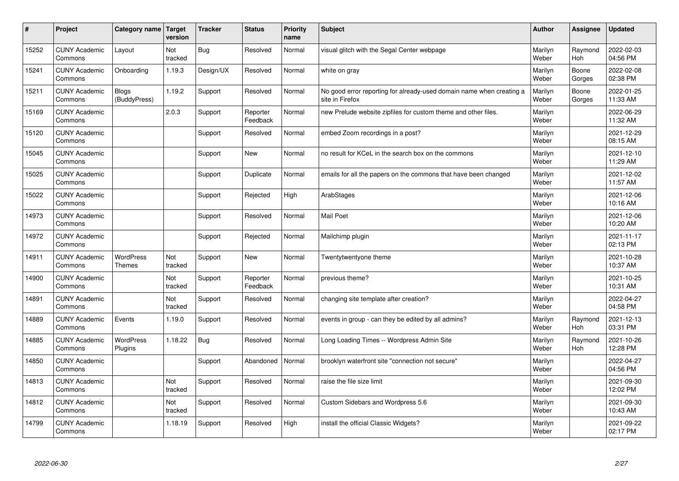| $\vert$ # | Project                         | Category name   Target       | version        | <b>Tracker</b> | <b>Status</b>        | <b>Priority</b><br>name | <b>Subject</b>                                                                          | <b>Author</b>    | Assignee              | Updated                |
|-----------|---------------------------------|------------------------------|----------------|----------------|----------------------|-------------------------|-----------------------------------------------------------------------------------------|------------------|-----------------------|------------------------|
| 15252     | <b>CUNY Academic</b><br>Commons | Layout                       | Not<br>tracked | Bug            | Resolved             | Normal                  | visual glitch with the Segal Center webpage                                             | Marilyn<br>Weber | Raymond<br><b>Hoh</b> | 2022-02-03<br>04:56 PM |
| 15241     | <b>CUNY Academic</b><br>Commons | Onboarding                   | 1.19.3         | Design/UX      | Resolved             | Normal                  | white on gray                                                                           | Marilyn<br>Weber | Boone<br>Gorges       | 2022-02-08<br>02:38 PM |
| 15211     | <b>CUNY Academic</b><br>Commons | <b>Blogs</b><br>(BuddyPress) | 1.19.2         | Support        | Resolved             | Normal                  | No good error reporting for already-used domain name when creating a<br>site in Firefox | Marilyn<br>Weber | Boone<br>Gorges       | 2022-01-25<br>11:33 AM |
| 15169     | <b>CUNY Academic</b><br>Commons |                              | 2.0.3          | Support        | Reporter<br>Feedback | Normal                  | new Prelude website zipfiles for custom theme and other files.                          | Marilyn<br>Weber |                       | 2022-06-29<br>11:32 AM |
| 15120     | <b>CUNY Academic</b><br>Commons |                              |                | Support        | Resolved             | Normal                  | embed Zoom recordings in a post?                                                        | Marilyn<br>Weber |                       | 2021-12-29<br>08:15 AM |
| 15045     | <b>CUNY Academic</b><br>Commons |                              |                | Support        | <b>New</b>           | Normal                  | no result for KCeL in the search box on the commons                                     | Marilyn<br>Weber |                       | 2021-12-10<br>11:29 AM |
| 15025     | <b>CUNY Academic</b><br>Commons |                              |                | Support        | Duplicate            | Normal                  | emails for all the papers on the commons that have been changed                         | Marilyn<br>Weber |                       | 2021-12-02<br>11:57 AM |
| 15022     | <b>CUNY Academic</b><br>Commons |                              |                | Support        | Rejected             | High                    | ArabStages                                                                              | Marilyn<br>Weber |                       | 2021-12-06<br>10:16 AM |
| 14973     | <b>CUNY Academic</b><br>Commons |                              |                | Support        | Resolved             | Normal                  | <b>Mail Poet</b>                                                                        | Marilyn<br>Weber |                       | 2021-12-06<br>10:20 AM |
| 14972     | <b>CUNY Academic</b><br>Commons |                              |                | Support        | Rejected             | Normal                  | Mailchimp plugin                                                                        | Marilyn<br>Weber |                       | 2021-11-17<br>02:13 PM |
| 14911     | <b>CUNY Academic</b><br>Commons | WordPress<br><b>Themes</b>   | Not<br>tracked | Support        | New                  | Normal                  | Twentytwentyone theme                                                                   | Marilyn<br>Weber |                       | 2021-10-28<br>10:37 AM |
| 14900     | <b>CUNY Academic</b><br>Commons |                              | Not<br>tracked | Support        | Reporter<br>Feedback | Normal                  | previous theme?                                                                         | Marilyn<br>Weber |                       | 2021-10-25<br>10:31 AM |
| 14891     | <b>CUNY Academic</b><br>Commons |                              | Not<br>tracked | Support        | Resolved             | Normal                  | changing site template after creation?                                                  | Marilyn<br>Weber |                       | 2022-04-27<br>04:58 PM |
| 14889     | <b>CUNY Academic</b><br>Commons | Events                       | 1.19.0         | Support        | Resolved             | Normal                  | events in group - can they be edited by all admins?                                     | Marilyn<br>Weber | Raymond<br><b>Hoh</b> | 2021-12-13<br>03:31 PM |
| 14885     | <b>CUNY Academic</b><br>Commons | <b>WordPress</b><br>Plugins  | 1.18.22        | Bug            | Resolved             | Normal                  | Long Loading Times -- Wordpress Admin Site                                              | Marilyn<br>Weber | Raymond<br><b>Hoh</b> | 2021-10-26<br>12:28 PM |
| 14850     | <b>CUNY Academic</b><br>Commons |                              |                | Support        | Abandoned            | Normal                  | brooklyn waterfront site "connection not secure"                                        | Marilyn<br>Weber |                       | 2022-04-27<br>04:56 PM |
| 14813     | <b>CUNY Academic</b><br>Commons |                              | Not<br>tracked | Support        | Resolved             | Normal                  | raise the file size limit                                                               | Marilyn<br>Weber |                       | 2021-09-30<br>12:02 PM |
| 14812     | <b>CUNY Academic</b><br>Commons |                              | Not<br>tracked | Support        | Resolved             | Normal                  | Custom Sidebars and Wordpress 5.6                                                       | Marilyn<br>Weber |                       | 2021-09-30<br>10:43 AM |
| 14799     | <b>CUNY Academic</b><br>Commons |                              | 1.18.19        | Support        | Resolved             | High                    | install the official Classic Widgets?                                                   | Marilyn<br>Weber |                       | 2021-09-22<br>02:17 PM |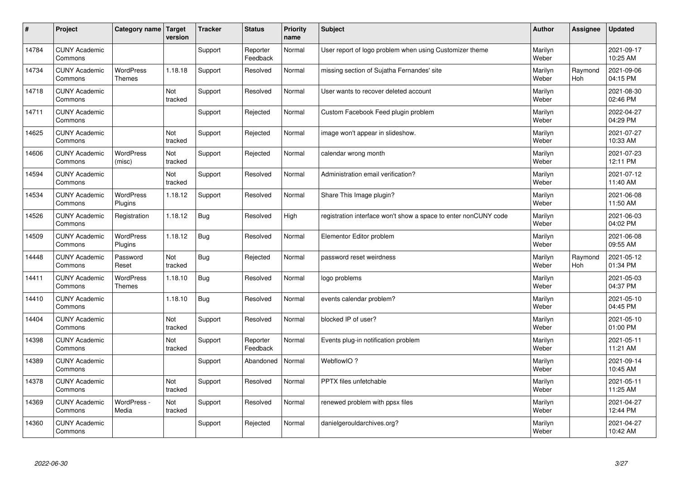| $\vert$ # | Project                         | Category name   Target            | version               | <b>Tracker</b> | <b>Status</b>        | <b>Priority</b><br>name | <b>Subject</b>                                                  | <b>Author</b>    | Assignee       | <b>Updated</b>         |
|-----------|---------------------------------|-----------------------------------|-----------------------|----------------|----------------------|-------------------------|-----------------------------------------------------------------|------------------|----------------|------------------------|
| 14784     | <b>CUNY Academic</b><br>Commons |                                   |                       | Support        | Reporter<br>Feedback | Normal                  | User report of logo problem when using Customizer theme         | Marilyn<br>Weber |                | 2021-09-17<br>10:25 AM |
| 14734     | <b>CUNY Academic</b><br>Commons | <b>WordPress</b><br><b>Themes</b> | 1.18.18               | Support        | Resolved             | Normal                  | missing section of Sujatha Fernandes' site                      | Marilyn<br>Weber | Raymond<br>Hoh | 2021-09-06<br>04:15 PM |
| 14718     | <b>CUNY Academic</b><br>Commons |                                   | Not<br>tracked        | Support        | Resolved             | Normal                  | User wants to recover deleted account                           | Marilyn<br>Weber |                | 2021-08-30<br>02:46 PM |
| 14711     | <b>CUNY Academic</b><br>Commons |                                   |                       | Support        | Rejected             | Normal                  | Custom Facebook Feed plugin problem                             | Marilyn<br>Weber |                | 2022-04-27<br>04:29 PM |
| 14625     | <b>CUNY Academic</b><br>Commons |                                   | <b>Not</b><br>tracked | Support        | Rejected             | Normal                  | image won't appear in slideshow.                                | Marilyn<br>Weber |                | 2021-07-27<br>10:33 AM |
| 14606     | <b>CUNY Academic</b><br>Commons | <b>WordPress</b><br>(misc)        | Not<br>tracked        | Support        | Rejected             | Normal                  | calendar wrong month                                            | Marilyn<br>Weber |                | 2021-07-23<br>12:11 PM |
| 14594     | <b>CUNY Academic</b><br>Commons |                                   | Not<br>tracked        | Support        | Resolved             | Normal                  | Administration email verification?                              | Marilyn<br>Weber |                | 2021-07-12<br>11:40 AM |
| 14534     | <b>CUNY Academic</b><br>Commons | <b>WordPress</b><br>Plugins       | 1.18.12               | Support        | Resolved             | Normal                  | Share This Image plugin?                                        | Marilyn<br>Weber |                | 2021-06-08<br>11:50 AM |
| 14526     | <b>CUNY Academic</b><br>Commons | Registration                      | 1.18.12               | <b>Bug</b>     | Resolved             | High                    | registration interface won't show a space to enter nonCUNY code | Marilyn<br>Weber |                | 2021-06-03<br>04:02 PM |
| 14509     | <b>CUNY Academic</b><br>Commons | WordPress<br>Plugins              | 1.18.12               | Bug            | Resolved             | Normal                  | Elementor Editor problem                                        | Marilyn<br>Weber |                | 2021-06-08<br>09:55 AM |
| 14448     | <b>CUNY Academic</b><br>Commons | Password<br>Reset                 | Not<br>tracked        | <b>Bug</b>     | Rejected             | Normal                  | password reset weirdness                                        | Marilyn<br>Weber | Raymond<br>Hoh | 2021-05-12<br>01:34 PM |
| 14411     | <b>CUNY Academic</b><br>Commons | <b>WordPress</b><br><b>Themes</b> | 1.18.10               | <b>Bug</b>     | Resolved             | Normal                  | logo problems                                                   | Marilyn<br>Weber |                | 2021-05-03<br>04:37 PM |
| 14410     | <b>CUNY Academic</b><br>Commons |                                   | 1.18.10               | <b>Bug</b>     | Resolved             | Normal                  | events calendar problem?                                        | Marilyn<br>Weber |                | 2021-05-10<br>04:45 PM |
| 14404     | <b>CUNY Academic</b><br>Commons |                                   | Not<br>tracked        | Support        | Resolved             | Normal                  | blocked IP of user?                                             | Marilyn<br>Weber |                | 2021-05-10<br>01:00 PM |
| 14398     | <b>CUNY Academic</b><br>Commons |                                   | Not<br>tracked        | Support        | Reporter<br>Feedback | Normal                  | Events plug-in notification problem                             | Marilyn<br>Weber |                | 2021-05-11<br>11:21 AM |
| 14389     | <b>CUNY Academic</b><br>Commons |                                   |                       | Support        | Abandoned            | Normal                  | WebflowIO?                                                      | Marilyn<br>Weber |                | 2021-09-14<br>10:45 AM |
| 14378     | <b>CUNY Academic</b><br>Commons |                                   | Not<br>tracked        | Support        | Resolved             | Normal                  | PPTX files unfetchable                                          | Marilyn<br>Weber |                | 2021-05-11<br>11:25 AM |
| 14369     | <b>CUNY Academic</b><br>Commons | WordPress -<br>Media              | Not<br>tracked        | Support        | Resolved             | Normal                  | renewed problem with ppsx files                                 | Marilyn<br>Weber |                | 2021-04-27<br>12:44 PM |
| 14360     | <b>CUNY Academic</b><br>Commons |                                   |                       | Support        | Rejected             | Normal                  | danielgerouldarchives.org?                                      | Marilyn<br>Weber |                | 2021-04-27<br>10:42 AM |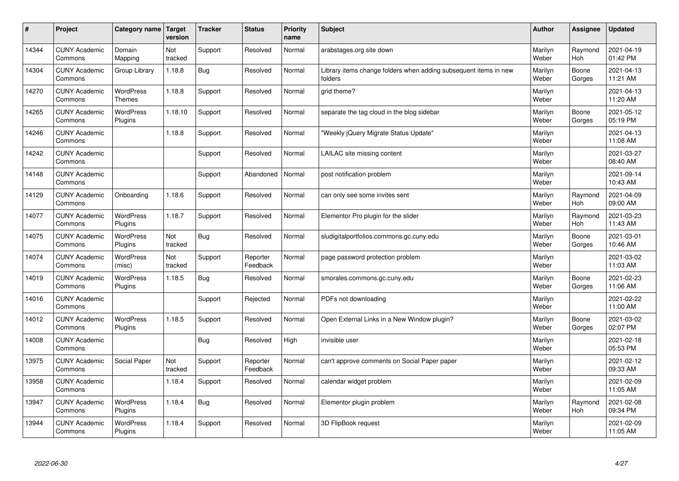| $\sharp$ | Project                         | Category name   Target      | version        | <b>Tracker</b> | <b>Status</b>        | <b>Priority</b><br>name | <b>Subject</b>                                                              | <b>Author</b>    | Assignee              | <b>Updated</b>         |
|----------|---------------------------------|-----------------------------|----------------|----------------|----------------------|-------------------------|-----------------------------------------------------------------------------|------------------|-----------------------|------------------------|
| 14344    | <b>CUNY Academic</b><br>Commons | Domain<br>Mapping           | Not<br>tracked | Support        | Resolved             | Normal                  | arabstages.org site down                                                    | Marilyn<br>Weber | Raymond<br>Hoh        | 2021-04-19<br>01:42 PM |
| 14304    | <b>CUNY Academic</b><br>Commons | Group Library               | 1.18.8         | Bug            | Resolved             | Normal                  | Library items change folders when adding subsequent items in new<br>folders | Marilyn<br>Weber | Boone<br>Gorges       | 2021-04-13<br>11:21 AM |
| 14270    | <b>CUNY Academic</b><br>Commons | WordPress<br><b>Themes</b>  | 1.18.8         | Support        | Resolved             | Normal                  | grid theme?                                                                 | Marilyn<br>Weber |                       | 2021-04-13<br>11:20 AM |
| 14265    | <b>CUNY Academic</b><br>Commons | <b>WordPress</b><br>Plugins | 1.18.10        | Support        | Resolved             | Normal                  | separate the tag cloud in the blog sidebar                                  | Marilyn<br>Weber | Boone<br>Gorges       | 2021-05-12<br>05:19 PM |
| 14246    | <b>CUNY Academic</b><br>Commons |                             | 1.18.8         | Support        | Resolved             | Normal                  | 'Weekly jQuery Migrate Status Update"                                       | Marilyn<br>Weber |                       | 2021-04-13<br>11:08 AM |
| 14242    | <b>CUNY Academic</b><br>Commons |                             |                | Support        | Resolved             | Normal                  | LAILAC site missing content                                                 | Marilyn<br>Weber |                       | 2021-03-27<br>08:40 AM |
| 14148    | <b>CUNY Academic</b><br>Commons |                             |                | Support        | Abandoned            | Normal                  | post notification problem                                                   | Marilyn<br>Weber |                       | 2021-09-14<br>10:43 AM |
| 14129    | <b>CUNY Academic</b><br>Commons | Onboarding                  | 1.18.6         | Support        | Resolved             | Normal                  | can only see some invites sent                                              | Marilyn<br>Weber | Raymond<br>Hoh        | 2021-04-09<br>09:00 AM |
| 14077    | <b>CUNY Academic</b><br>Commons | <b>WordPress</b><br>Plugins | 1.18.7         | Support        | Resolved             | Normal                  | Elementor Pro plugin for the slider                                         | Marilyn<br>Weber | Raymond<br><b>Hoh</b> | 2021-03-23<br>11:43 AM |
| 14075    | <b>CUNY Academic</b><br>Commons | WordPress<br>Plugins        | Not<br>tracked | Bug            | Resolved             | Normal                  | sludigitalportfolios.commons.gc.cuny.edu                                    | Marilyn<br>Weber | Boone<br>Gorges       | 2021-03-01<br>10:46 AM |
| 14074    | <b>CUNY Academic</b><br>Commons | WordPress<br>(misc)         | Not<br>tracked | Support        | Reporter<br>Feedback | Normal                  | page password protection problem                                            | Marilyn<br>Weber |                       | 2021-03-02<br>11:03 AM |
| 14019    | <b>CUNY Academic</b><br>Commons | WordPress<br>Plugins        | 1.18.5         | Bug            | Resolved             | Normal                  | smorales.commons.gc.cuny.edu                                                | Marilyn<br>Weber | Boone<br>Gorges       | 2021-02-23<br>11:06 AM |
| 14016    | <b>CUNY Academic</b><br>Commons |                             |                | Support        | Rejected             | Normal                  | PDFs not downloading                                                        | Marilyn<br>Weber |                       | 2021-02-22<br>11:00 AM |
| 14012    | <b>CUNY Academic</b><br>Commons | WordPress<br>Plugins        | 1.18.5         | Support        | Resolved             | Normal                  | Open External Links in a New Window plugin?                                 | Marilyn<br>Weber | Boone<br>Gorges       | 2021-03-02<br>02:07 PM |
| 14008    | <b>CUNY Academic</b><br>Commons |                             |                | Bug            | Resolved             | High                    | invisible user                                                              | Marilyn<br>Weber |                       | 2021-02-18<br>05:53 PM |
| 13975    | <b>CUNY Academic</b><br>Commons | Social Paper                | Not<br>tracked | Support        | Reporter<br>Feedback | Normal                  | can't approve comments on Social Paper paper                                | Marilyn<br>Weber |                       | 2021-02-12<br>09:33 AM |
| 13958    | <b>CUNY Academic</b><br>Commons |                             | 1.18.4         | Support        | Resolved             | Normal                  | calendar widget problem                                                     | Marilyn<br>Weber |                       | 2021-02-09<br>11:05 AM |
| 13947    | <b>CUNY Academic</b><br>Commons | <b>WordPress</b><br>Plugins | 1.18.4         | Bug            | Resolved             | Normal                  | Elementor plugin problem                                                    | Marilyn<br>Weber | Raymond<br>Hoh        | 2021-02-08<br>09:34 PM |
| 13944    | <b>CUNY Academic</b><br>Commons | <b>WordPress</b><br>Plugins | 1.18.4         | Support        | Resolved             | Normal                  | 3D FlipBook request                                                         | Marilyn<br>Weber |                       | 2021-02-09<br>11:05 AM |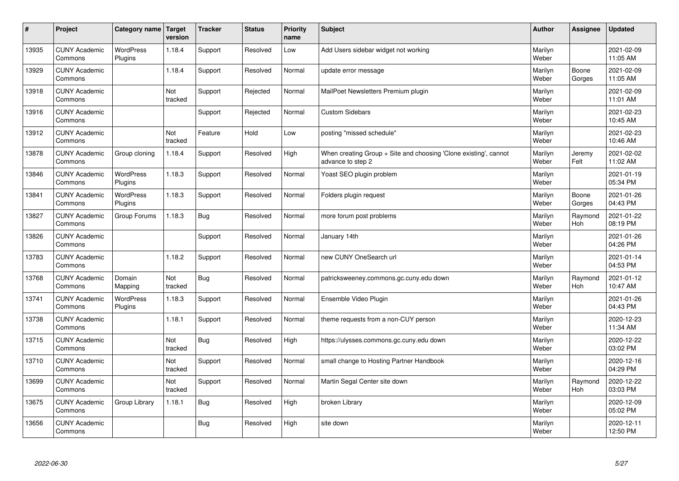| $\sharp$ | Project                         | Category name   Target      | version        | <b>Tracker</b> | <b>Status</b> | <b>Priority</b><br>name | <b>Subject</b>                                                                        | <b>Author</b>    | Assignee              | Updated                |
|----------|---------------------------------|-----------------------------|----------------|----------------|---------------|-------------------------|---------------------------------------------------------------------------------------|------------------|-----------------------|------------------------|
| 13935    | <b>CUNY Academic</b><br>Commons | <b>WordPress</b><br>Plugins | 1.18.4         | Support        | Resolved      | Low                     | Add Users sidebar widget not working                                                  | Marilyn<br>Weber |                       | 2021-02-09<br>11:05 AM |
| 13929    | <b>CUNY Academic</b><br>Commons |                             | 1.18.4         | Support        | Resolved      | Normal                  | update error message                                                                  | Marilyn<br>Weber | Boone<br>Gorges       | 2021-02-09<br>11:05 AM |
| 13918    | <b>CUNY Academic</b><br>Commons |                             | Not<br>tracked | Support        | Rejected      | Normal                  | MailPoet Newsletters Premium plugin                                                   | Marilyn<br>Weber |                       | 2021-02-09<br>11:01 AM |
| 13916    | <b>CUNY Academic</b><br>Commons |                             |                | Support        | Rejected      | Normal                  | <b>Custom Sidebars</b>                                                                | Marilyn<br>Weber |                       | 2021-02-23<br>10:45 AM |
| 13912    | <b>CUNY Academic</b><br>Commons |                             | Not<br>tracked | Feature        | Hold          | Low                     | posting "missed schedule"                                                             | Marilyn<br>Weber |                       | 2021-02-23<br>10:46 AM |
| 13878    | <b>CUNY Academic</b><br>Commons | Group cloning               | 1.18.4         | Support        | Resolved      | High                    | When creating Group + Site and choosing 'Clone existing', cannot<br>advance to step 2 | Marilyn<br>Weber | Jeremy<br>Felt        | 2021-02-02<br>11:02 AM |
| 13846    | <b>CUNY Academic</b><br>Commons | <b>WordPress</b><br>Plugins | 1.18.3         | Support        | Resolved      | Normal                  | Yoast SEO plugin problem                                                              | Marilyn<br>Weber |                       | 2021-01-19<br>05:34 PM |
| 13841    | <b>CUNY Academic</b><br>Commons | <b>WordPress</b><br>Plugins | 1.18.3         | Support        | Resolved      | Normal                  | Folders plugin request                                                                | Marilyn<br>Weber | Boone<br>Gorges       | 2021-01-26<br>04:43 PM |
| 13827    | <b>CUNY Academic</b><br>Commons | Group Forums                | 1.18.3         | Bug            | Resolved      | Normal                  | more forum post problems                                                              | Marilyn<br>Weber | Raymond<br>Hoh        | 2021-01-22<br>08:19 PM |
| 13826    | <b>CUNY Academic</b><br>Commons |                             |                | Support        | Resolved      | Normal                  | January 14th                                                                          | Marilyn<br>Weber |                       | 2021-01-26<br>04:26 PM |
| 13783    | <b>CUNY Academic</b><br>Commons |                             | 1.18.2         | Support        | Resolved      | Normal                  | new CUNY OneSearch url                                                                | Marilyn<br>Weber |                       | 2021-01-14<br>04:53 PM |
| 13768    | <b>CUNY Academic</b><br>Commons | Domain<br>Mapping           | Not<br>tracked | Bug            | Resolved      | Normal                  | patricksweeney.commons.gc.cuny.edu down                                               | Marilyn<br>Weber | Raymond<br>Hoh        | 2021-01-12<br>10:47 AM |
| 13741    | <b>CUNY Academic</b><br>Commons | <b>WordPress</b><br>Plugins | 1.18.3         | Support        | Resolved      | Normal                  | Ensemble Video Plugin                                                                 | Marilyn<br>Weber |                       | 2021-01-26<br>04:43 PM |
| 13738    | <b>CUNY Academic</b><br>Commons |                             | 1.18.1         | Support        | Resolved      | Normal                  | theme requests from a non-CUY person                                                  | Marilyn<br>Weber |                       | 2020-12-23<br>11:34 AM |
| 13715    | <b>CUNY Academic</b><br>Commons |                             | Not<br>tracked | Bug            | Resolved      | High                    | https://ulysses.commons.gc.cuny.edu down                                              | Marilyn<br>Weber |                       | 2020-12-22<br>03:02 PM |
| 13710    | <b>CUNY Academic</b><br>Commons |                             | Not<br>tracked | Support        | Resolved      | Normal                  | small change to Hosting Partner Handbook                                              | Marilyn<br>Weber |                       | 2020-12-16<br>04:29 PM |
| 13699    | <b>CUNY Academic</b><br>Commons |                             | Not<br>tracked | Support        | Resolved      | Normal                  | Martin Segal Center site down                                                         | Marilyn<br>Weber | Raymond<br><b>Hoh</b> | 2020-12-22<br>03:03 PM |
| 13675    | <b>CUNY Academic</b><br>Commons | Group Library               | 1.18.1         | Bug            | Resolved      | High                    | broken Library                                                                        | Marilyn<br>Weber |                       | 2020-12-09<br>05:02 PM |
| 13656    | <b>CUNY Academic</b><br>Commons |                             |                | <b>Bug</b>     | Resolved      | High                    | site down                                                                             | Marilyn<br>Weber |                       | 2020-12-11<br>12:50 PM |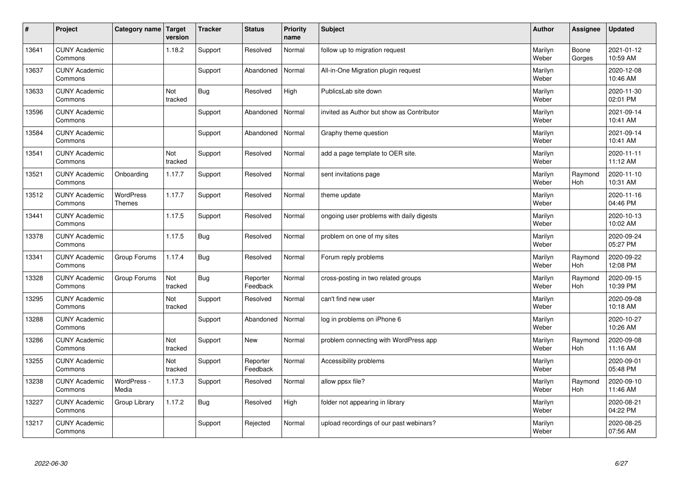| $\sharp$ | Project                         | Category name   Target     | version        | <b>Tracker</b> | <b>Status</b>        | <b>Priority</b><br>name | <b>Subject</b>                            | <b>Author</b>    | Assignee              | <b>Updated</b>         |
|----------|---------------------------------|----------------------------|----------------|----------------|----------------------|-------------------------|-------------------------------------------|------------------|-----------------------|------------------------|
| 13641    | <b>CUNY Academic</b><br>Commons |                            | 1.18.2         | Support        | Resolved             | Normal                  | follow up to migration request            | Marilyn<br>Weber | Boone<br>Gorges       | 2021-01-12<br>10:59 AM |
| 13637    | <b>CUNY Academic</b><br>Commons |                            |                | Support        | Abandoned            | Normal                  | All-in-One Migration plugin request       | Marilyn<br>Weber |                       | 2020-12-08<br>10:46 AM |
| 13633    | <b>CUNY Academic</b><br>Commons |                            | Not<br>tracked | Bug            | Resolved             | High                    | PublicsLab site down                      | Marilyn<br>Weber |                       | 2020-11-30<br>02:01 PM |
| 13596    | <b>CUNY Academic</b><br>Commons |                            |                | Support        | Abandoned            | Normal                  | invited as Author but show as Contributor | Marilyn<br>Weber |                       | 2021-09-14<br>10:41 AM |
| 13584    | <b>CUNY Academic</b><br>Commons |                            |                | Support        | Abandoned            | Normal                  | Graphy theme question                     | Marilyn<br>Weber |                       | 2021-09-14<br>10:41 AM |
| 13541    | <b>CUNY Academic</b><br>Commons |                            | Not<br>tracked | Support        | Resolved             | Normal                  | add a page template to OER site.          | Marilyn<br>Weber |                       | 2020-11-11<br>11:12 AM |
| 13521    | <b>CUNY Academic</b><br>Commons | Onboarding                 | 1.17.7         | Support        | Resolved             | Normal                  | sent invitations page                     | Marilyn<br>Weber | Raymond<br>Hoh        | 2020-11-10<br>10:31 AM |
| 13512    | <b>CUNY Academic</b><br>Commons | WordPress<br><b>Themes</b> | 1.17.7         | Support        | Resolved             | Normal                  | theme update                              | Marilyn<br>Weber |                       | 2020-11-16<br>04:46 PM |
| 13441    | <b>CUNY Academic</b><br>Commons |                            | 1.17.5         | Support        | Resolved             | Normal                  | ongoing user problems with daily digests  | Marilyn<br>Weber |                       | 2020-10-13<br>10:02 AM |
| 13378    | <b>CUNY Academic</b><br>Commons |                            | 1.17.5         | Bug            | Resolved             | Normal                  | problem on one of my sites                | Marilyn<br>Weber |                       | 2020-09-24<br>05:27 PM |
| 13341    | <b>CUNY Academic</b><br>Commons | Group Forums               | 1.17.4         | Bug            | Resolved             | Normal                  | Forum reply problems                      | Marilyn<br>Weber | Raymond<br><b>Hoh</b> | 2020-09-22<br>12:08 PM |
| 13328    | <b>CUNY Academic</b><br>Commons | Group Forums               | Not<br>tracked | Bug            | Reporter<br>Feedback | Normal                  | cross-posting in two related groups       | Marilyn<br>Weber | Raymond<br><b>Hoh</b> | 2020-09-15<br>10:39 PM |
| 13295    | <b>CUNY Academic</b><br>Commons |                            | Not<br>tracked | Support        | Resolved             | Normal                  | can't find new user                       | Marilyn<br>Weber |                       | 2020-09-08<br>10:18 AM |
| 13288    | <b>CUNY Academic</b><br>Commons |                            |                | Support        | Abandoned            | Normal                  | log in problems on iPhone 6               | Marilyn<br>Weber |                       | 2020-10-27<br>10:26 AM |
| 13286    | <b>CUNY Academic</b><br>Commons |                            | Not<br>tracked | Support        | <b>New</b>           | Normal                  | problem connecting with WordPress app     | Marilyn<br>Weber | Raymond<br><b>Hoh</b> | 2020-09-08<br>11:16 AM |
| 13255    | <b>CUNY Academic</b><br>Commons |                            | Not<br>tracked | Support        | Reporter<br>Feedback | Normal                  | Accessibility problems                    | Marilyn<br>Weber |                       | 2020-09-01<br>05:48 PM |
| 13238    | <b>CUNY Academic</b><br>Commons | WordPress -<br>Media       | 1.17.3         | Support        | Resolved             | Normal                  | allow ppsx file?                          | Marilyn<br>Weber | Raymond<br>Hoh        | 2020-09-10<br>11:46 AM |
| 13227    | <b>CUNY Academic</b><br>Commons | Group Library              | 1.17.2         | Bug            | Resolved             | High                    | folder not appearing in library           | Marilyn<br>Weber |                       | 2020-08-21<br>04:22 PM |
| 13217    | <b>CUNY Academic</b><br>Commons |                            |                | Support        | Rejected             | Normal                  | upload recordings of our past webinars?   | Marilyn<br>Weber |                       | 2020-08-25<br>07:56 AM |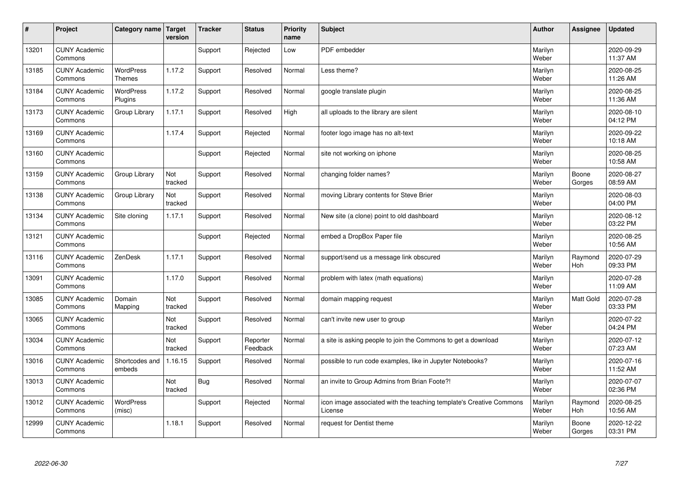| #     | Project                         | Category name   Target            | version        | <b>Tracker</b> | <b>Status</b>        | <b>Priority</b><br>name | <b>Subject</b>                                                                 | <b>Author</b>    | Assignee        | <b>Updated</b>         |
|-------|---------------------------------|-----------------------------------|----------------|----------------|----------------------|-------------------------|--------------------------------------------------------------------------------|------------------|-----------------|------------------------|
| 13201 | <b>CUNY Academic</b><br>Commons |                                   |                | Support        | Rejected             | Low                     | PDF embedder                                                                   | Marilyn<br>Weber |                 | 2020-09-29<br>11:37 AM |
| 13185 | <b>CUNY Academic</b><br>Commons | <b>WordPress</b><br><b>Themes</b> | 1.17.2         | Support        | Resolved             | Normal                  | Less theme?                                                                    | Marilyn<br>Weber |                 | 2020-08-25<br>11:26 AM |
| 13184 | <b>CUNY Academic</b><br>Commons | <b>WordPress</b><br>Plugins       | 1.17.2         | Support        | Resolved             | Normal                  | google translate plugin                                                        | Marilyn<br>Weber |                 | 2020-08-25<br>11:36 AM |
| 13173 | <b>CUNY Academic</b><br>Commons | Group Library                     | 1.17.1         | Support        | Resolved             | High                    | all uploads to the library are silent                                          | Marilyn<br>Weber |                 | 2020-08-10<br>04:12 PM |
| 13169 | <b>CUNY Academic</b><br>Commons |                                   | 1.17.4         | Support        | Rejected             | Normal                  | footer logo image has no alt-text                                              | Marilyn<br>Weber |                 | 2020-09-22<br>10:18 AM |
| 13160 | <b>CUNY Academic</b><br>Commons |                                   |                | Support        | Rejected             | Normal                  | site not working on iphone                                                     | Marilyn<br>Weber |                 | 2020-08-25<br>10:58 AM |
| 13159 | <b>CUNY Academic</b><br>Commons | Group Library                     | Not<br>tracked | Support        | Resolved             | Normal                  | changing folder names?                                                         | Marilyn<br>Weber | Boone<br>Gorges | 2020-08-27<br>08:59 AM |
| 13138 | <b>CUNY Academic</b><br>Commons | Group Library                     | Not<br>tracked | Support        | Resolved             | Normal                  | moving Library contents for Steve Brier                                        | Marilyn<br>Weber |                 | 2020-08-03<br>04:00 PM |
| 13134 | <b>CUNY Academic</b><br>Commons | Site cloning                      | 1.17.1         | Support        | Resolved             | Normal                  | New site (a clone) point to old dashboard                                      | Marilyn<br>Weber |                 | 2020-08-12<br>03:22 PM |
| 13121 | <b>CUNY Academic</b><br>Commons |                                   |                | Support        | Rejected             | Normal                  | embed a DropBox Paper file                                                     | Marilyn<br>Weber |                 | 2020-08-25<br>10:56 AM |
| 13116 | <b>CUNY Academic</b><br>Commons | ZenDesk                           | 1.17.1         | Support        | Resolved             | Normal                  | support/send us a message link obscured                                        | Marilyn<br>Weber | Raymond<br>Hoh  | 2020-07-29<br>09:33 PM |
| 13091 | <b>CUNY Academic</b><br>Commons |                                   | 1.17.0         | Support        | Resolved             | Normal                  | problem with latex (math equations)                                            | Marilyn<br>Weber |                 | 2020-07-28<br>11:09 AM |
| 13085 | <b>CUNY Academic</b><br>Commons | Domain<br>Mapping                 | Not<br>tracked | Support        | Resolved             | Normal                  | domain mapping request                                                         | Marilyn<br>Weber | Matt Gold       | 2020-07-28<br>03:33 PM |
| 13065 | <b>CUNY Academic</b><br>Commons |                                   | Not<br>tracked | Support        | Resolved             | Normal                  | can't invite new user to group                                                 | Marilyn<br>Weber |                 | 2020-07-22<br>04:24 PM |
| 13034 | <b>CUNY Academic</b><br>Commons |                                   | Not<br>tracked | Support        | Reporter<br>Feedback | Normal                  | a site is asking people to join the Commons to get a download                  | Marilyn<br>Weber |                 | 2020-07-12<br>07:23 AM |
| 13016 | <b>CUNY Academic</b><br>Commons | Shortcodes and<br>embeds          | 1.16.15        | Support        | Resolved             | Normal                  | possible to run code examples, like in Jupyter Notebooks?                      | Marilyn<br>Weber |                 | 2020-07-16<br>11:52 AM |
| 13013 | <b>CUNY Academic</b><br>Commons |                                   | Not<br>tracked | Bug            | Resolved             | Normal                  | an invite to Group Admins from Brian Foote?!                                   | Marilyn<br>Weber |                 | 2020-07-07<br>02:36 PM |
| 13012 | <b>CUNY Academic</b><br>Commons | <b>WordPress</b><br>(misc)        |                | Support        | Rejected             | Normal                  | icon image associated with the teaching template's Creative Commons<br>License | Marilyn<br>Weber | Raymond<br>Hoh  | 2020-08-25<br>10:56 AM |
| 12999 | <b>CUNY Academic</b><br>Commons |                                   | 1.18.1         | Support        | Resolved             | Normal                  | request for Dentist theme                                                      | Marilyn<br>Weber | Boone<br>Gorges | 2020-12-22<br>03:31 PM |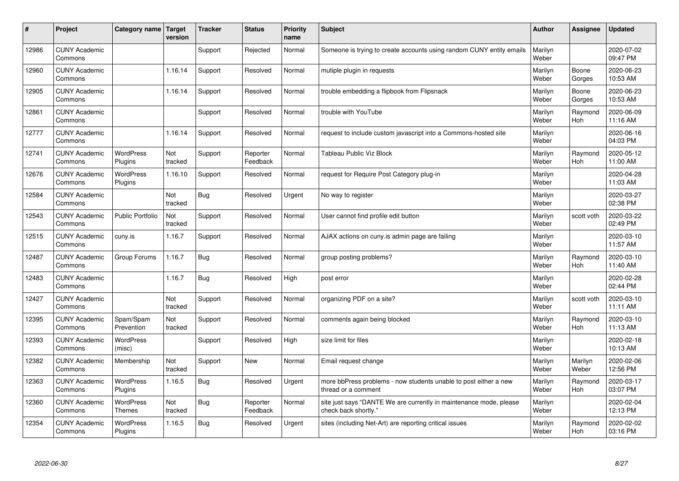| #     | Project                         | Category name   Target      | version        | <b>Tracker</b> | <b>Status</b>        | <b>Priority</b><br>name | <b>Subject</b>                                                                             | <b>Author</b>    | Assignee              | <b>Updated</b>         |
|-------|---------------------------------|-----------------------------|----------------|----------------|----------------------|-------------------------|--------------------------------------------------------------------------------------------|------------------|-----------------------|------------------------|
| 12986 | <b>CUNY Academic</b><br>Commons |                             |                | Support        | Rejected             | Normal                  | Someone is trying to create accounts using random CUNY entity emails                       | Marilyn<br>Weber |                       | 2020-07-02<br>09:47 PM |
| 12960 | <b>CUNY Academic</b><br>Commons |                             | 1.16.14        | Support        | Resolved             | Normal                  | mutiple plugin in requests                                                                 | Marilyn<br>Weber | Boone<br>Gorges       | 2020-06-23<br>10:53 AM |
| 12905 | <b>CUNY Academic</b><br>Commons |                             | 1.16.14        | Support        | Resolved             | Normal                  | trouble embedding a flipbook from Flipsnack                                                | Marilyn<br>Weber | Boone<br>Gorges       | 2020-06-23<br>10:53 AM |
| 12861 | <b>CUNY Academic</b><br>Commons |                             |                | Support        | Resolved             | Normal                  | trouble with YouTube                                                                       | Marilyn<br>Weber | Raymond<br>Hoh        | 2020-06-09<br>11:16 AM |
| 12777 | <b>CUNY Academic</b><br>Commons |                             | 1.16.14        | Support        | Resolved             | Normal                  | request to include custom javascript into a Commons-hosted site                            | Marilyn<br>Weber |                       | 2020-06-16<br>04:03 PM |
| 12741 | <b>CUNY Academic</b><br>Commons | <b>WordPress</b><br>Plugins | Not<br>tracked | Support        | Reporter<br>Feedback | Normal                  | Tableau Public Viz Block                                                                   | Marilyn<br>Weber | Raymond<br>Hoh        | 2020-05-12<br>11:00 AM |
| 12676 | <b>CUNY Academic</b><br>Commons | <b>WordPress</b><br>Plugins | 1.16.10        | Support        | Resolved             | Normal                  | request for Require Post Category plug-in                                                  | Marilyn<br>Weber |                       | 2020-04-28<br>11:03 AM |
| 12584 | <b>CUNY Academic</b><br>Commons |                             | Not<br>tracked | Bug            | Resolved             | Urgent                  | No way to register                                                                         | Marilyn<br>Weber |                       | 2020-03-27<br>02:38 PM |
| 12543 | <b>CUNY Academic</b><br>Commons | Public Portfolio            | Not<br>tracked | Support        | Resolved             | Normal                  | User cannot find profile edit button                                                       | Marilyn<br>Weber | scott voth            | 2020-03-22<br>02:49 PM |
| 12515 | <b>CUNY Academic</b><br>Commons | cuny.is                     | 1.16.7         | Support        | Resolved             | Normal                  | AJAX actions on cuny is admin page are failing                                             | Marilyn<br>Weber |                       | 2020-03-10<br>11:57 AM |
| 12487 | <b>CUNY Academic</b><br>Commons | Group Forums                | 1.16.7         | Bug            | Resolved             | Normal                  | group posting problems?                                                                    | Marilyn<br>Weber | Raymond<br>Hoh        | 2020-03-10<br>11:40 AM |
| 12483 | <b>CUNY Academic</b><br>Commons |                             | 1.16.7         | Bug            | Resolved             | High                    | post error                                                                                 | Marilyn<br>Weber |                       | 2020-02-28<br>02:44 PM |
| 12427 | <b>CUNY Academic</b><br>Commons |                             | Not<br>tracked | Support        | Resolved             | Normal                  | organizing PDF on a site?                                                                  | Marilyn<br>Weber | scott voth            | 2020-03-10<br>11:11 AM |
| 12395 | <b>CUNY Academic</b><br>Commons | Spam/Spam<br>Prevention     | Not<br>tracked | Support        | Resolved             | Normal                  | comments again being blocked                                                               | Marilyn<br>Weber | Raymond<br><b>Hoh</b> | 2020-03-10<br>11:13 AM |
| 12393 | <b>CUNY Academic</b><br>Commons | WordPress<br>(misc)         |                | Support        | Resolved             | High                    | size limit for files                                                                       | Marilyn<br>Weber |                       | 2020-02-18<br>10:13 AM |
| 12382 | <b>CUNY Academic</b><br>Commons | Membership                  | Not<br>tracked | Support        | <b>New</b>           | Normal                  | Email request change                                                                       | Marilyn<br>Weber | Marilyn<br>Weber      | 2020-02-06<br>12:56 PM |
| 12363 | <b>CUNY Academic</b><br>Commons | WordPress<br>Plugins        | 1.16.5         | Bug            | Resolved             | Urgent                  | more bbPress problems - now students unable to post either a new<br>thread or a comment    | Marilyn<br>Weber | Raymond<br><b>Hoh</b> | 2020-03-17<br>03:07 PM |
| 12360 | <b>CUNY Academic</b><br>Commons | WordPress<br><b>Themes</b>  | Not<br>tracked | Bug            | Reporter<br>Feedback | Normal                  | site just says "DANTE We are currently in maintenance mode, please<br>check back shortly." | Marilyn<br>Weber |                       | 2020-02-04<br>12:13 PM |
| 12354 | <b>CUNY Academic</b><br>Commons | <b>WordPress</b><br>Plugins | 1.16.5         | Bug            | Resolved             | Urgent                  | sites (including Net-Art) are reporting critical issues                                    | Marilyn<br>Weber | Raymond<br>Hoh        | 2020-02-02<br>03:16 PM |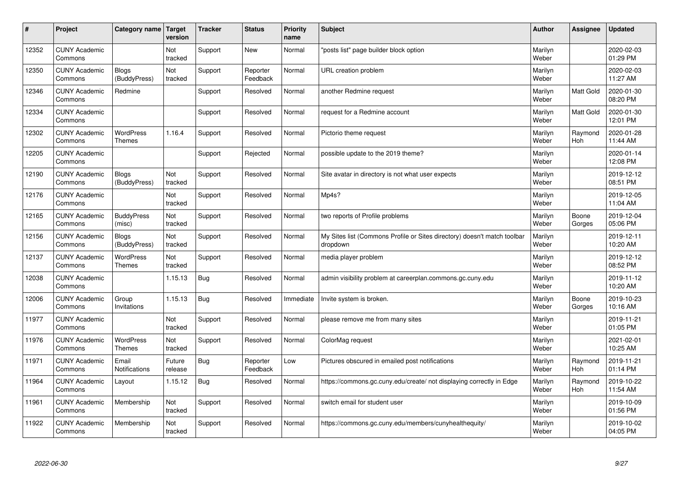| #     | Project                         | Category name   Target            | version           | <b>Tracker</b> | <b>Status</b>        | <b>Priority</b><br>name | <b>Subject</b>                                                                       | <b>Author</b>    | <b>Assignee</b>       | Updated                |
|-------|---------------------------------|-----------------------------------|-------------------|----------------|----------------------|-------------------------|--------------------------------------------------------------------------------------|------------------|-----------------------|------------------------|
| 12352 | <b>CUNY Academic</b><br>Commons |                                   | Not<br>tracked    | Support        | <b>New</b>           | Normal                  | 'posts list" page builder block option                                               | Marilyn<br>Weber |                       | 2020-02-03<br>01:29 PM |
| 12350 | <b>CUNY Academic</b><br>Commons | <b>Blogs</b><br>(BuddyPress)      | Not<br>tracked    | Support        | Reporter<br>Feedback | Normal                  | URL creation problem                                                                 | Marilyn<br>Weber |                       | 2020-02-03<br>11:27 AM |
| 12346 | <b>CUNY Academic</b><br>Commons | Redmine                           |                   | Support        | Resolved             | Normal                  | another Redmine request                                                              | Marilyn<br>Weber | Matt Gold             | 2020-01-30<br>08:20 PM |
| 12334 | <b>CUNY Academic</b><br>Commons |                                   |                   | Support        | Resolved             | Normal                  | request for a Redmine account                                                        | Marilyn<br>Weber | Matt Gold             | 2020-01-30<br>12:01 PM |
| 12302 | <b>CUNY Academic</b><br>Commons | WordPress<br><b>Themes</b>        | 1.16.4            | Support        | Resolved             | Normal                  | Pictorio theme request                                                               | Marilyn<br>Weber | Raymond<br>Hoh        | 2020-01-28<br>11:44 AM |
| 12205 | <b>CUNY Academic</b><br>Commons |                                   |                   | Support        | Rejected             | Normal                  | possible update to the 2019 theme?                                                   | Marilyn<br>Weber |                       | 2020-01-14<br>12:08 PM |
| 12190 | <b>CUNY Academic</b><br>Commons | <b>Blogs</b><br>(BuddyPress)      | Not<br>tracked    | Support        | Resolved             | Normal                  | Site avatar in directory is not what user expects                                    | Marilyn<br>Weber |                       | 2019-12-12<br>08:51 PM |
| 12176 | <b>CUNY Academic</b><br>Commons |                                   | Not<br>tracked    | Support        | Resolved             | Normal                  | Mp4s?                                                                                | Marilyn<br>Weber |                       | 2019-12-05<br>11:04 AM |
| 12165 | <b>CUNY Academic</b><br>Commons | <b>BuddyPress</b><br>(misc)       | Not<br>tracked    | Support        | Resolved             | Normal                  | two reports of Profile problems                                                      | Marilyn<br>Weber | Boone<br>Gorges       | 2019-12-04<br>05:06 PM |
| 12156 | <b>CUNY Academic</b><br>Commons | <b>Blogs</b><br>(BuddyPress)      | Not<br>tracked    | Support        | Resolved             | Normal                  | My Sites list (Commons Profile or Sites directory) doesn't match toolbar<br>dropdown | Marilyn<br>Weber |                       | 2019-12-11<br>10:20 AM |
| 12137 | <b>CUNY Academic</b><br>Commons | <b>WordPress</b><br><b>Themes</b> | Not<br>tracked    | Support        | Resolved             | Normal                  | media player problem                                                                 | Marilyn<br>Weber |                       | 2019-12-12<br>08:52 PM |
| 12038 | <b>CUNY Academic</b><br>Commons |                                   | 1.15.13           | Bug            | Resolved             | Normal                  | admin visibility problem at careerplan.commons.gc.cuny.edu                           | Marilyn<br>Weber |                       | 2019-11-12<br>10:20 AM |
| 12006 | <b>CUNY Academic</b><br>Commons | Group<br>Invitations              | 1.15.13           | Bug            | Resolved             | Immediate               | Invite system is broken.                                                             | Marilyn<br>Weber | Boone<br>Gorges       | 2019-10-23<br>10:16 AM |
| 11977 | <b>CUNY Academic</b><br>Commons |                                   | Not<br>tracked    | Support        | Resolved             | Normal                  | please remove me from many sites                                                     | Marilyn<br>Weber |                       | 2019-11-21<br>01:05 PM |
| 11976 | <b>CUNY Academic</b><br>Commons | <b>WordPress</b><br>Themes        | Not<br>tracked    | Support        | Resolved             | Normal                  | ColorMag request                                                                     | Marilyn<br>Weber |                       | 2021-02-01<br>10:25 AM |
| 11971 | <b>CUNY Academic</b><br>Commons | Email<br>Notifications            | Future<br>release | <b>Bug</b>     | Reporter<br>Feedback | Low                     | Pictures obscured in emailed post notifications                                      | Marilyn<br>Weber | Raymond<br>Hoh        | 2019-11-21<br>01:14 PM |
| 11964 | <b>CUNY Academic</b><br>Commons | Layout                            | 1.15.12           | Bug            | Resolved             | Normal                  | https://commons.gc.cuny.edu/create/ not displaying correctly in Edge                 | Marilyn<br>Weber | Raymond<br><b>Hoh</b> | 2019-10-22<br>11:54 AM |
| 11961 | <b>CUNY Academic</b><br>Commons | Membership                        | Not<br>tracked    | Support        | Resolved             | Normal                  | switch email for student user                                                        | Marilyn<br>Weber |                       | 2019-10-09<br>01:56 PM |
| 11922 | <b>CUNY Academic</b><br>Commons | Membership                        | Not<br>tracked    | Support        | Resolved             | Normal                  | https://commons.gc.cuny.edu/members/cunyhealthequity/                                | Marilyn<br>Weber |                       | 2019-10-02<br>04:05 PM |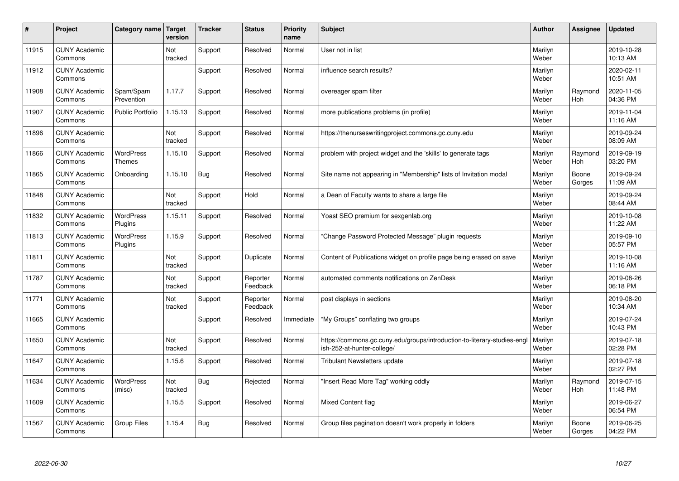| #     | Project                         | Category name   Target            | version        | <b>Tracker</b> | <b>Status</b>        | <b>Priority</b><br>name | <b>Subject</b>                                                                                         | <b>Author</b>    | Assignee        | <b>Updated</b>         |
|-------|---------------------------------|-----------------------------------|----------------|----------------|----------------------|-------------------------|--------------------------------------------------------------------------------------------------------|------------------|-----------------|------------------------|
| 11915 | <b>CUNY Academic</b><br>Commons |                                   | Not<br>tracked | Support        | Resolved             | Normal                  | User not in list                                                                                       | Marilyn<br>Weber |                 | 2019-10-28<br>10:13 AM |
| 11912 | <b>CUNY Academic</b><br>Commons |                                   |                | Support        | Resolved             | Normal                  | influence search results?                                                                              | Marilyn<br>Weber |                 | 2020-02-11<br>10:51 AM |
| 11908 | <b>CUNY Academic</b><br>Commons | Spam/Spam<br>Prevention           | 1.17.7         | Support        | Resolved             | Normal                  | overeager spam filter                                                                                  | Marilyn<br>Weber | Raymond<br>Hoh  | 2020-11-05<br>04:36 PM |
| 11907 | <b>CUNY Academic</b><br>Commons | <b>Public Portfolio</b>           | 1.15.13        | Support        | Resolved             | Normal                  | more publications problems (in profile)                                                                | Marilyn<br>Weber |                 | 2019-11-04<br>11:16 AM |
| 11896 | <b>CUNY Academic</b><br>Commons |                                   | Not<br>tracked | Support        | Resolved             | Normal                  | https://thenurseswritingproject.commons.gc.cuny.edu                                                    | Marilyn<br>Weber |                 | 2019-09-24<br>08:09 AM |
| 11866 | <b>CUNY Academic</b><br>Commons | <b>WordPress</b><br><b>Themes</b> | 1.15.10        | Support        | Resolved             | Normal                  | problem with project widget and the 'skills' to generate tags                                          | Marilyn<br>Weber | Raymond<br>Hoh  | 2019-09-19<br>03:20 PM |
| 11865 | <b>CUNY Academic</b><br>Commons | Onboarding                        | 1.15.10        | Bug            | Resolved             | Normal                  | Site name not appearing in "Membership" lists of Invitation modal                                      | Marilyn<br>Weber | Boone<br>Gorges | 2019-09-24<br>11:09 AM |
| 11848 | <b>CUNY Academic</b><br>Commons |                                   | Not<br>tracked | Support        | Hold                 | Normal                  | a Dean of Faculty wants to share a large file                                                          | Marilyn<br>Weber |                 | 2019-09-24<br>08:44 AM |
| 11832 | <b>CUNY Academic</b><br>Commons | <b>WordPress</b><br>Plugins       | 1.15.11        | Support        | Resolved             | Normal                  | Yoast SEO premium for sexgenlab.org                                                                    | Marilyn<br>Weber |                 | 2019-10-08<br>11:22 AM |
| 11813 | <b>CUNY Academic</b><br>Commons | <b>WordPress</b><br>Plugins       | 1.15.9         | Support        | Resolved             | Normal                  | 'Change Password Protected Message" plugin reguests                                                    | Marilyn<br>Weber |                 | 2019-09-10<br>05:57 PM |
| 11811 | <b>CUNY Academic</b><br>Commons |                                   | Not<br>tracked | Support        | Duplicate            | Normal                  | Content of Publications widget on profile page being erased on save                                    | Marilyn<br>Weber |                 | 2019-10-08<br>11:16 AM |
| 11787 | <b>CUNY Academic</b><br>Commons |                                   | Not<br>tracked | Support        | Reporter<br>Feedback | Normal                  | automated comments notifications on ZenDesk                                                            | Marilyn<br>Weber |                 | 2019-08-26<br>06:18 PM |
| 11771 | <b>CUNY Academic</b><br>Commons |                                   | Not<br>tracked | Support        | Reporter<br>Feedback | Normal                  | post displays in sections                                                                              | Marilyn<br>Weber |                 | 2019-08-20<br>10:34 AM |
| 11665 | <b>CUNY Academic</b><br>Commons |                                   |                | Support        | Resolved             | Immediate               | 'My Groups" conflating two groups                                                                      | Marilyn<br>Weber |                 | 2019-07-24<br>10:43 PM |
| 11650 | <b>CUNY Academic</b><br>Commons |                                   | Not<br>tracked | Support        | Resolved             | Normal                  | https://commons.gc.cuny.edu/groups/introduction-to-literary-studies-engl<br>ish-252-at-hunter-college/ | Marilyn<br>Weber |                 | 2019-07-18<br>02:28 PM |
| 11647 | <b>CUNY Academic</b><br>Commons |                                   | 1.15.6         | Support        | Resolved             | Normal                  | <b>Tribulant Newsletters update</b>                                                                    | Marilyn<br>Weber |                 | 2019-07-18<br>02:27 PM |
| 11634 | <b>CUNY Academic</b><br>Commons | WordPress<br>(misc)               | Not<br>tracked | Bug            | Rejected             | Normal                  | 'Insert Read More Tag" working oddly                                                                   | Marilyn<br>Weber | Raymond<br>Hoh  | 2019-07-15<br>11:48 PM |
| 11609 | <b>CUNY Academic</b><br>Commons |                                   | 1.15.5         | Support        | Resolved             | Normal                  | <b>Mixed Content flag</b>                                                                              | Marilyn<br>Weber |                 | 2019-06-27<br>06:54 PM |
| 11567 | <b>CUNY Academic</b><br>Commons | <b>Group Files</b>                | 1.15.4         | Bug            | Resolved             | Normal                  | Group files pagination doesn't work properly in folders                                                | Marilyn<br>Weber | Boone<br>Gorges | 2019-06-25<br>04:22 PM |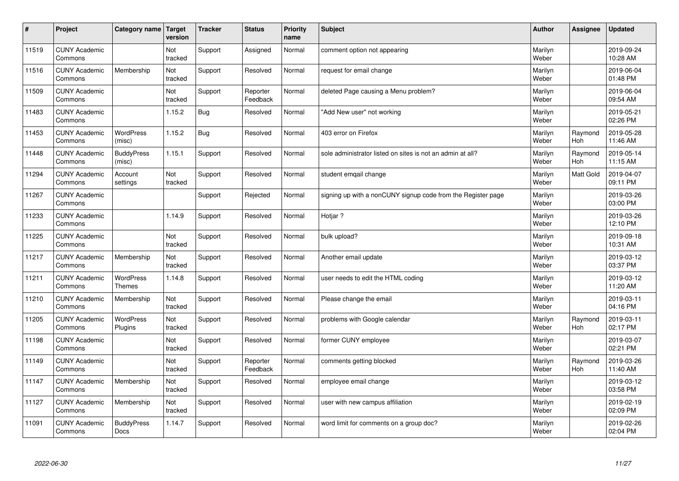| $\vert$ # | Project                         | Category name   Target            | version        | <b>Tracker</b> | <b>Status</b>        | <b>Priority</b><br>name | <b>Subject</b>                                               | <b>Author</b>    | <b>Assignee</b>       | <b>Updated</b>         |
|-----------|---------------------------------|-----------------------------------|----------------|----------------|----------------------|-------------------------|--------------------------------------------------------------|------------------|-----------------------|------------------------|
| 11519     | <b>CUNY Academic</b><br>Commons |                                   | Not<br>tracked | Support        | Assigned             | Normal                  | comment option not appearing                                 | Marilyn<br>Weber |                       | 2019-09-24<br>10:28 AM |
| 11516     | <b>CUNY Academic</b><br>Commons | Membership                        | Not<br>tracked | Support        | Resolved             | Normal                  | request for email change                                     | Marilyn<br>Weber |                       | 2019-06-04<br>01:48 PM |
| 11509     | <b>CUNY Academic</b><br>Commons |                                   | Not<br>tracked | Support        | Reporter<br>Feedback | Normal                  | deleted Page causing a Menu problem?                         | Marilyn<br>Weber |                       | 2019-06-04<br>09:54 AM |
| 11483     | <b>CUNY Academic</b><br>Commons |                                   | 1.15.2         | <b>Bug</b>     | Resolved             | Normal                  | 'Add New user" not working                                   | Marilyn<br>Weber |                       | 2019-05-21<br>02:26 PM |
| 11453     | <b>CUNY Academic</b><br>Commons | <b>WordPress</b><br>(misc)        | 1.15.2         | <b>Bug</b>     | Resolved             | Normal                  | 403 error on Firefox                                         | Marilyn<br>Weber | Raymond<br><b>Hoh</b> | 2019-05-28<br>11:46 AM |
| 11448     | <b>CUNY Academic</b><br>Commons | <b>BuddyPress</b><br>(misc)       | 1.15.1         | Support        | Resolved             | Normal                  | sole administrator listed on sites is not an admin at all?   | Marilyn<br>Weber | Raymond<br><b>Hoh</b> | 2019-05-14<br>11:15 AM |
| 11294     | <b>CUNY Academic</b><br>Commons | Account<br>settings               | Not<br>tracked | Support        | Resolved             | Normal                  | student emqail change                                        | Marilyn<br>Weber | Matt Gold             | 2019-04-07<br>09:11 PM |
| 11267     | <b>CUNY Academic</b><br>Commons |                                   |                | Support        | Rejected             | Normal                  | signing up with a nonCUNY signup code from the Register page | Marilyn<br>Weber |                       | 2019-03-26<br>03:00 PM |
| 11233     | <b>CUNY Academic</b><br>Commons |                                   | 1.14.9         | Support        | Resolved             | Normal                  | Hotjar?                                                      | Marilyn<br>Weber |                       | 2019-03-26<br>12:10 PM |
| 11225     | <b>CUNY Academic</b><br>Commons |                                   | Not<br>tracked | Support        | Resolved             | Normal                  | bulk upload?                                                 | Marilyn<br>Weber |                       | 2019-09-18<br>10:31 AM |
| 11217     | <b>CUNY Academic</b><br>Commons | Membership                        | Not<br>tracked | Support        | Resolved             | Normal                  | Another email update                                         | Marilyn<br>Weber |                       | 2019-03-12<br>03:37 PM |
| 11211     | <b>CUNY Academic</b><br>Commons | <b>WordPress</b><br><b>Themes</b> | 1.14.8         | Support        | Resolved             | Normal                  | user needs to edit the HTML coding                           | Marilyn<br>Weber |                       | 2019-03-12<br>11:20 AM |
| 11210     | <b>CUNY Academic</b><br>Commons | Membership                        | Not<br>tracked | Support        | Resolved             | Normal                  | Please change the email                                      | Marilyn<br>Weber |                       | 2019-03-11<br>04:16 PM |
| 11205     | <b>CUNY Academic</b><br>Commons | WordPress<br>Plugins              | Not<br>tracked | Support        | Resolved             | Normal                  | problems with Google calendar                                | Marilyn<br>Weber | Raymond<br>Hoh        | 2019-03-11<br>02:17 PM |
| 11198     | <b>CUNY Academic</b><br>Commons |                                   | Not<br>tracked | Support        | Resolved             | Normal                  | former CUNY employee                                         | Marilyn<br>Weber |                       | 2019-03-07<br>02:21 PM |
| 11149     | <b>CUNY Academic</b><br>Commons |                                   | Not<br>tracked | Support        | Reporter<br>Feedback | Normal                  | comments getting blocked                                     | Marilyn<br>Weber | Raymond<br><b>Hoh</b> | 2019-03-26<br>11:40 AM |
| 11147     | <b>CUNY Academic</b><br>Commons | Membership                        | Not<br>tracked | Support        | Resolved             | Normal                  | employee email change                                        | Marilyn<br>Weber |                       | 2019-03-12<br>03:58 PM |
| 11127     | <b>CUNY Academic</b><br>Commons | Membership                        | Not<br>tracked | Support        | Resolved             | Normal                  | user with new campus affiliation                             | Marilyn<br>Weber |                       | 2019-02-19<br>02:09 PM |
| 11091     | <b>CUNY Academic</b><br>Commons | <b>BuddyPress</b><br><b>Docs</b>  | 1.14.7         | Support        | Resolved             | Normal                  | word limit for comments on a group doc?                      | Marilyn<br>Weber |                       | 2019-02-26<br>02:04 PM |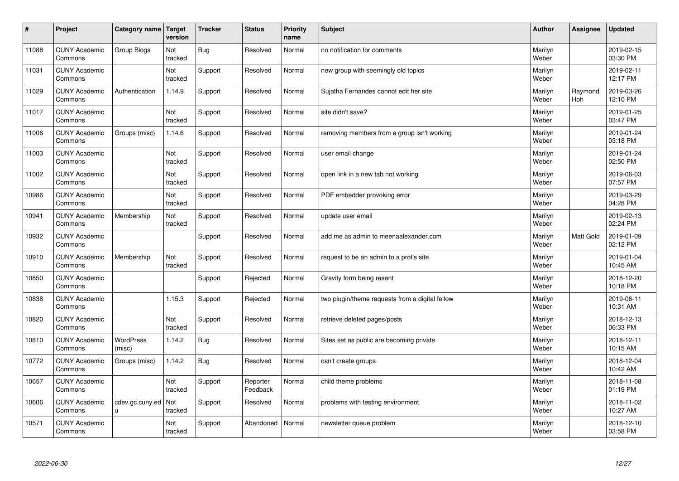| $\sharp$ | Project                         | Category name              | Target<br>version     | <b>Tracker</b> | <b>Status</b>        | <b>Priority</b><br>name | <b>Subject</b>                                  | <b>Author</b>    | Assignee              | <b>Updated</b>         |
|----------|---------------------------------|----------------------------|-----------------------|----------------|----------------------|-------------------------|-------------------------------------------------|------------------|-----------------------|------------------------|
| 11088    | <b>CUNY Academic</b><br>Commons | Group Blogs                | Not<br>tracked        | Bug            | Resolved             | Normal                  | no notification for comments                    | Marilyn<br>Weber |                       | 2019-02-15<br>03:30 PM |
| 11031    | <b>CUNY Academic</b><br>Commons |                            | Not<br>tracked        | Support        | Resolved             | Normal                  | new group with seemingly old topics             | Marilyn<br>Weber |                       | 2019-02-11<br>12:17 PM |
| 11029    | <b>CUNY Academic</b><br>Commons | Authentication             | 1.14.9                | Support        | Resolved             | Normal                  | Sujatha Fernandes cannot edit her site          | Marilyn<br>Weber | Raymond<br><b>Hoh</b> | 2019-03-26<br>12:10 PM |
| 11017    | <b>CUNY Academic</b><br>Commons |                            | <b>Not</b><br>tracked | Support        | Resolved             | Normal                  | site didn't save?                               | Marilyn<br>Weber |                       | 2019-01-25<br>03:47 PM |
| 11006    | <b>CUNY Academic</b><br>Commons | Groups (misc)              | 1.14.6                | Support        | Resolved             | Normal                  | removing members from a group isn't working     | Marilyn<br>Weber |                       | 2019-01-24<br>03:18 PM |
| 11003    | <b>CUNY Academic</b><br>Commons |                            | Not<br>tracked        | Support        | Resolved             | Normal                  | user email change                               | Marilyn<br>Weber |                       | 2019-01-24<br>02:50 PM |
| 11002    | <b>CUNY Academic</b><br>Commons |                            | Not<br>tracked        | Support        | Resolved             | Normal                  | open link in a new tab not working              | Marilyn<br>Weber |                       | 2019-06-03<br>07:57 PM |
| 10986    | <b>CUNY Academic</b><br>Commons |                            | Not<br>tracked        | Support        | Resolved             | Normal                  | PDF embedder provoking error                    | Marilyn<br>Weber |                       | 2019-03-29<br>04:28 PM |
| 10941    | <b>CUNY Academic</b><br>Commons | Membership                 | Not<br>tracked        | Support        | Resolved             | Normal                  | update user email                               | Marilyn<br>Weber |                       | 2019-02-13<br>02:24 PM |
| 10932    | <b>CUNY Academic</b><br>Commons |                            |                       | Support        | Resolved             | Normal                  | add me as admin to meenaalexander.com           | Marilyn<br>Weber | <b>Matt Gold</b>      | 2019-01-09<br>02:12 PM |
| 10910    | <b>CUNY Academic</b><br>Commons | Membership                 | Not<br>tracked        | Support        | Resolved             | Normal                  | request to be an admin to a prof's site         | Marilyn<br>Weber |                       | 2019-01-04<br>10:45 AM |
| 10850    | <b>CUNY Academic</b><br>Commons |                            |                       | Support        | Rejected             | Normal                  | Gravity form being resent                       | Marilyn<br>Weber |                       | 2018-12-20<br>10:18 PM |
| 10838    | <b>CUNY Academic</b><br>Commons |                            | 1.15.3                | Support        | Rejected             | Normal                  | two plugin/theme requests from a digital fellow | Marilyn<br>Weber |                       | 2019-06-11<br>10:31 AM |
| 10820    | <b>CUNY Academic</b><br>Commons |                            | Not<br>tracked        | Support        | Resolved             | Normal                  | retrieve deleted pages/posts                    | Marilyn<br>Weber |                       | 2018-12-13<br>06:33 PM |
| 10810    | <b>CUNY Academic</b><br>Commons | <b>WordPress</b><br>(misc) | 1.14.2                | Bug            | Resolved             | Normal                  | Sites set as public are becoming private        | Marilyn<br>Weber |                       | 2018-12-11<br>10:15 AM |
| 10772    | <b>CUNY Academic</b><br>Commons | Groups (misc)              | 1.14.2                | Bug            | Resolved             | Normal                  | can't create groups                             | Marilyn<br>Weber |                       | 2018-12-04<br>10:42 AM |
| 10657    | <b>CUNY Academic</b><br>Commons |                            | Not<br>tracked        | Support        | Reporter<br>Feedback | Normal                  | child theme problems                            | Marilyn<br>Weber |                       | 2018-11-08<br>01:19 PM |
| 10606    | <b>CUNY Academic</b><br>Commons | cdev.gc.cuny.ed<br>u.      | Not<br>tracked        | Support        | Resolved             | Normal                  | problems with testing environment               | Marilyn<br>Weber |                       | 2018-11-02<br>10:27 AM |
| 10571    | <b>CUNY Academic</b><br>Commons |                            | Not<br>tracked        | Support        | Abandoned            | Normal                  | newsletter queue problem                        | Marilyn<br>Weber |                       | 2018-12-10<br>03:58 PM |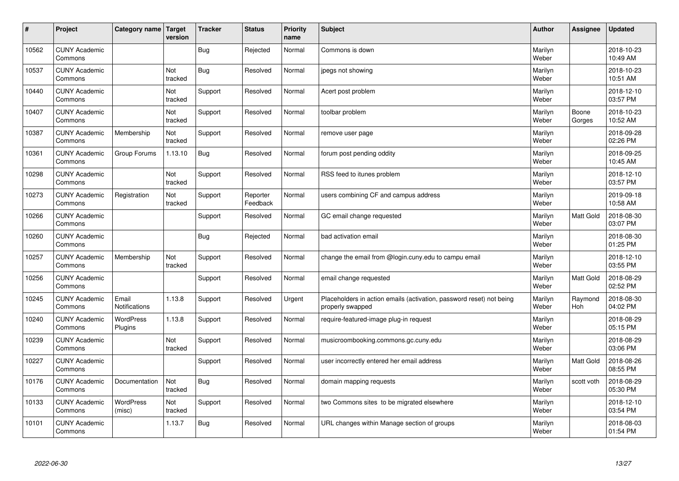| #     | Project                         | Category name   Target        | version        | <b>Tracker</b> | <b>Status</b>        | <b>Priority</b><br>name | <b>Subject</b>                                                                           | <b>Author</b>    | Assignee        | <b>Updated</b>         |
|-------|---------------------------------|-------------------------------|----------------|----------------|----------------------|-------------------------|------------------------------------------------------------------------------------------|------------------|-----------------|------------------------|
| 10562 | <b>CUNY Academic</b><br>Commons |                               |                | Bug            | Rejected             | Normal                  | Commons is down                                                                          | Marilyn<br>Weber |                 | 2018-10-23<br>10:49 AM |
| 10537 | <b>CUNY Academic</b><br>Commons |                               | Not<br>tracked | <b>Bug</b>     | Resolved             | Normal                  | jpegs not showing                                                                        | Marilyn<br>Weber |                 | 2018-10-23<br>10:51 AM |
| 10440 | <b>CUNY Academic</b><br>Commons |                               | Not<br>tracked | Support        | Resolved             | Normal                  | Acert post problem                                                                       | Marilyn<br>Weber |                 | 2018-12-10<br>03:57 PM |
| 10407 | <b>CUNY Academic</b><br>Commons |                               | Not<br>tracked | Support        | Resolved             | Normal                  | toolbar problem                                                                          | Marilyn<br>Weber | Boone<br>Gorges | 2018-10-23<br>10:52 AM |
| 10387 | <b>CUNY Academic</b><br>Commons | Membership                    | Not<br>tracked | Support        | Resolved             | Normal                  | remove user page                                                                         | Marilyn<br>Weber |                 | 2018-09-28<br>02:26 PM |
| 10361 | <b>CUNY Academic</b><br>Commons | Group Forums                  | 1.13.10        | <b>Bug</b>     | Resolved             | Normal                  | forum post pending oddity                                                                | Marilyn<br>Weber |                 | 2018-09-25<br>10:45 AM |
| 10298 | <b>CUNY Academic</b><br>Commons |                               | Not<br>tracked | Support        | Resolved             | Normal                  | RSS feed to itunes problem                                                               | Marilyn<br>Weber |                 | 2018-12-10<br>03:57 PM |
| 10273 | <b>CUNY Academic</b><br>Commons | Registration                  | Not<br>tracked | Support        | Reporter<br>Feedback | Normal                  | users combining CF and campus address                                                    | Marilyn<br>Weber |                 | 2019-09-18<br>10:58 AM |
| 10266 | <b>CUNY Academic</b><br>Commons |                               |                | Support        | Resolved             | Normal                  | GC email change requested                                                                | Marilyn<br>Weber | Matt Gold       | 2018-08-30<br>03:07 PM |
| 10260 | <b>CUNY Academic</b><br>Commons |                               |                | <b>Bug</b>     | Rejected             | Normal                  | bad activation email                                                                     | Marilyn<br>Weber |                 | 2018-08-30<br>01:25 PM |
| 10257 | <b>CUNY Academic</b><br>Commons | Membership                    | Not<br>tracked | Support        | Resolved             | Normal                  | change the email from @login.cuny.edu to campu email                                     | Marilyn<br>Weber |                 | 2018-12-10<br>03:55 PM |
| 10256 | <b>CUNY Academic</b><br>Commons |                               |                | Support        | Resolved             | Normal                  | email change requested                                                                   | Marilyn<br>Weber | Matt Gold       | 2018-08-29<br>02:52 PM |
| 10245 | <b>CUNY Academic</b><br>Commons | Email<br><b>Notifications</b> | 1.13.8         | Support        | Resolved             | Urgent                  | Placeholders in action emails (activation, password reset) not being<br>properly swapped | Marilyn<br>Weber | Raymond<br>Hoh  | 2018-08-30<br>04:02 PM |
| 10240 | <b>CUNY Academic</b><br>Commons | <b>WordPress</b><br>Plugins   | 1.13.8         | Support        | Resolved             | Normal                  | require-featured-image plug-in request                                                   | Marilyn<br>Weber |                 | 2018-08-29<br>05:15 PM |
| 10239 | <b>CUNY Academic</b><br>Commons |                               | Not<br>tracked | Support        | Resolved             | Normal                  | musicroombooking.commons.gc.cuny.edu                                                     | Marilyn<br>Weber |                 | 2018-08-29<br>03:06 PM |
| 10227 | <b>CUNY Academic</b><br>Commons |                               |                | Support        | Resolved             | Normal                  | user incorrectly entered her email address                                               | Marilyn<br>Weber | Matt Gold       | 2018-08-26<br>08:55 PM |
| 10176 | <b>CUNY Academic</b><br>Commons | Documentation                 | Not<br>tracked | <b>Bug</b>     | Resolved             | Normal                  | domain mapping requests                                                                  | Marilyn<br>Weber | scott voth      | 2018-08-29<br>05:30 PM |
| 10133 | <b>CUNY Academic</b><br>Commons | <b>WordPress</b><br>(misc)    | Not<br>tracked | Support        | Resolved             | Normal                  | two Commons sites to be migrated elsewhere                                               | Marilyn<br>Weber |                 | 2018-12-10<br>03:54 PM |
| 10101 | <b>CUNY Academic</b><br>Commons |                               | 1.13.7         | <b>Bug</b>     | Resolved             | Normal                  | URL changes within Manage section of groups                                              | Marilyn<br>Weber |                 | 2018-08-03<br>01:54 PM |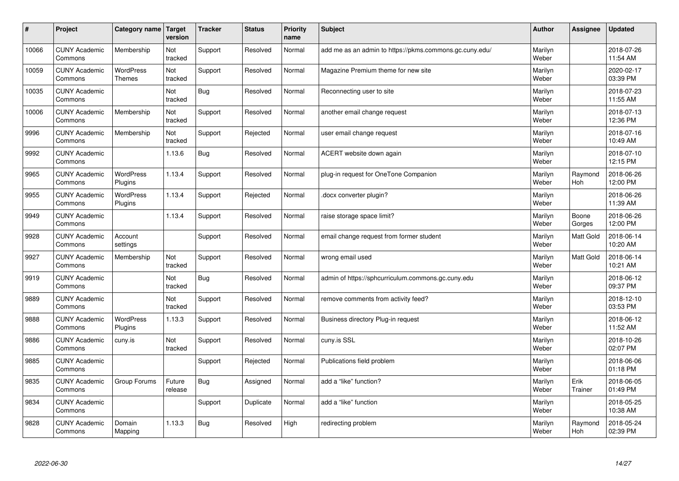| $\pmb{\sharp}$ | Project                         | Category name                     | <b>Target</b><br>version | <b>Tracker</b> | <b>Status</b> | <b>Priority</b><br>name | <b>Subject</b>                                          | <b>Author</b>    | Assignee         | <b>Updated</b>         |
|----------------|---------------------------------|-----------------------------------|--------------------------|----------------|---------------|-------------------------|---------------------------------------------------------|------------------|------------------|------------------------|
| 10066          | <b>CUNY Academic</b><br>Commons | Membership                        | Not<br>tracked           | Support        | Resolved      | Normal                  | add me as an admin to https://pkms.commons.gc.cuny.edu/ | Marilyn<br>Weber |                  | 2018-07-26<br>11:54 AM |
| 10059          | <b>CUNY Academic</b><br>Commons | <b>WordPress</b><br><b>Themes</b> | Not<br>tracked           | Support        | Resolved      | Normal                  | Magazine Premium theme for new site                     | Marilyn<br>Weber |                  | 2020-02-17<br>03:39 PM |
| 10035          | <b>CUNY Academic</b><br>Commons |                                   | Not<br>tracked           | Bug            | Resolved      | Normal                  | Reconnecting user to site                               | Marilyn<br>Weber |                  | 2018-07-23<br>11:55 AM |
| 10006          | <b>CUNY Academic</b><br>Commons | Membership                        | Not<br>tracked           | Support        | Resolved      | Normal                  | another email change request                            | Marilyn<br>Weber |                  | 2018-07-13<br>12:36 PM |
| 9996           | <b>CUNY Academic</b><br>Commons | Membership                        | Not<br>tracked           | Support        | Rejected      | Normal                  | user email change request                               | Marilyn<br>Weber |                  | 2018-07-16<br>10:49 AM |
| 9992           | <b>CUNY Academic</b><br>Commons |                                   | 1.13.6                   | <b>Bug</b>     | Resolved      | Normal                  | ACERT website down again                                | Marilyn<br>Weber |                  | 2018-07-10<br>12:15 PM |
| 9965           | <b>CUNY Academic</b><br>Commons | <b>WordPress</b><br>Plugins       | 1.13.4                   | Support        | Resolved      | Normal                  | plug-in request for OneTone Companion                   | Marilyn<br>Weber | Raymond<br>Hoh   | 2018-06-26<br>12:00 PM |
| 9955           | <b>CUNY Academic</b><br>Commons | WordPress<br>Plugins              | 1.13.4                   | Support        | Rejected      | Normal                  | docx converter plugin?                                  | Marilyn<br>Weber |                  | 2018-06-26<br>11:39 AM |
| 9949           | <b>CUNY Academic</b><br>Commons |                                   | 1.13.4                   | Support        | Resolved      | Normal                  | raise storage space limit?                              | Marilyn<br>Weber | Boone<br>Gorges  | 2018-06-26<br>12:00 PM |
| 9928           | <b>CUNY Academic</b><br>Commons | Account<br>settings               |                          | Support        | Resolved      | Normal                  | email change request from former student                | Marilyn<br>Weber | <b>Matt Gold</b> | 2018-06-14<br>10:20 AM |
| 9927           | <b>CUNY Academic</b><br>Commons | Membership                        | Not<br>tracked           | Support        | Resolved      | Normal                  | wrong email used                                        | Marilyn<br>Weber | Matt Gold        | 2018-06-14<br>10:21 AM |
| 9919           | <b>CUNY Academic</b><br>Commons |                                   | Not<br>tracked           | Bug            | Resolved      | Normal                  | admin of https://sphcurriculum.commons.gc.cuny.edu      | Marilyn<br>Weber |                  | 2018-06-12<br>09:37 PM |
| 9889           | <b>CUNY Academic</b><br>Commons |                                   | Not<br>tracked           | Support        | Resolved      | Normal                  | remove comments from activity feed?                     | Marilyn<br>Weber |                  | 2018-12-10<br>03:53 PM |
| 9888           | <b>CUNY Academic</b><br>Commons | <b>WordPress</b><br>Plugins       | 1.13.3                   | Support        | Resolved      | Normal                  | Business directory Plug-in request                      | Marilyn<br>Weber |                  | 2018-06-12<br>11:52 AM |
| 9886           | <b>CUNY Academic</b><br>Commons | cuny.is                           | Not<br>tracked           | Support        | Resolved      | Normal                  | cuny.is SSL                                             | Marilyn<br>Weber |                  | 2018-10-26<br>02:07 PM |
| 9885           | <b>CUNY Academic</b><br>Commons |                                   |                          | Support        | Rejected      | Normal                  | Publications field problem                              | Marilyn<br>Weber |                  | 2018-06-06<br>01:18 PM |
| 9835           | <b>CUNY Academic</b><br>Commons | Group Forums                      | Future<br>release        | Bug            | Assigned      | Normal                  | add a "like" function?                                  | Marilyn<br>Weber | Erik<br>Trainer  | 2018-06-05<br>01:49 PM |
| 9834           | <b>CUNY Academic</b><br>Commons |                                   |                          | Support        | Duplicate     | Normal                  | add a "like" function                                   | Marilyn<br>Weber |                  | 2018-05-25<br>10:38 AM |
| 9828           | <b>CUNY Academic</b><br>Commons | Domain<br>Mapping                 | 1.13.3                   | Bug            | Resolved      | High                    | redirecting problem                                     | Marilyn<br>Weber | Raymond<br>Hoh   | 2018-05-24<br>02:39 PM |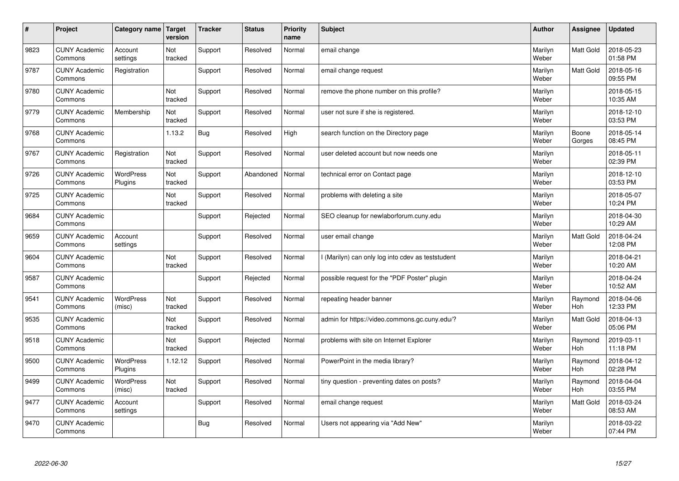| $\sharp$ | Project                         | Category name Target        | version        | <b>Tracker</b> | <b>Status</b> | <b>Priority</b><br>name | <b>Subject</b>                                  | <b>Author</b>    | Assignee              | <b>Updated</b>         |
|----------|---------------------------------|-----------------------------|----------------|----------------|---------------|-------------------------|-------------------------------------------------|------------------|-----------------------|------------------------|
| 9823     | <b>CUNY Academic</b><br>Commons | Account<br>settings         | Not<br>tracked | Support        | Resolved      | Normal                  | email change                                    | Marilyn<br>Weber | <b>Matt Gold</b>      | 2018-05-23<br>01:58 PM |
| 9787     | <b>CUNY Academic</b><br>Commons | Registration                |                | Support        | Resolved      | Normal                  | email change request                            | Marilyn<br>Weber | Matt Gold             | 2018-05-16<br>09:55 PM |
| 9780     | <b>CUNY Academic</b><br>Commons |                             | Not<br>tracked | Support        | Resolved      | Normal                  | remove the phone number on this profile?        | Marilyn<br>Weber |                       | 2018-05-15<br>10:35 AM |
| 9779     | <b>CUNY Academic</b><br>Commons | Membership                  | Not<br>tracked | Support        | Resolved      | Normal                  | user not sure if she is registered.             | Marilyn<br>Weber |                       | 2018-12-10<br>03:53 PM |
| 9768     | <b>CUNY Academic</b><br>Commons |                             | 1.13.2         | <b>Bug</b>     | Resolved      | High                    | search function on the Directory page           | Marilyn<br>Weber | Boone<br>Gorges       | 2018-05-14<br>08:45 PM |
| 9767     | <b>CUNY Academic</b><br>Commons | Registration                | Not<br>tracked | Support        | Resolved      | Normal                  | user deleted account but now needs one          | Marilyn<br>Weber |                       | 2018-05-11<br>02:39 PM |
| 9726     | <b>CUNY Academic</b><br>Commons | WordPress<br>Plugins        | Not<br>tracked | Support        | Abandoned     | Normal                  | technical error on Contact page                 | Marilyn<br>Weber |                       | 2018-12-10<br>03:53 PM |
| 9725     | <b>CUNY Academic</b><br>Commons |                             | Not<br>tracked | Support        | Resolved      | Normal                  | problems with deleting a site                   | Marilyn<br>Weber |                       | 2018-05-07<br>10:24 PM |
| 9684     | <b>CUNY Academic</b><br>Commons |                             |                | Support        | Rejected      | Normal                  | SEO cleanup for newlaborforum.cuny.edu          | Marilyn<br>Weber |                       | 2018-04-30<br>10:29 AM |
| 9659     | <b>CUNY Academic</b><br>Commons | Account<br>settings         |                | Support        | Resolved      | Normal                  | user email change                               | Marilyn<br>Weber | <b>Matt Gold</b>      | 2018-04-24<br>12:08 PM |
| 9604     | <b>CUNY Academic</b><br>Commons |                             | Not<br>tracked | Support        | Resolved      | Normal                  | (Marilyn) can only log into cdev as teststudent | Marilyn<br>Weber |                       | 2018-04-21<br>10:20 AM |
| 9587     | <b>CUNY Academic</b><br>Commons |                             |                | Support        | Rejected      | Normal                  | possible request for the "PDF Poster" plugin    | Marilyn<br>Weber |                       | 2018-04-24<br>10:52 AM |
| 9541     | <b>CUNY Academic</b><br>Commons | <b>WordPress</b><br>(misc)  | Not<br>tracked | Support        | Resolved      | Normal                  | repeating header banner                         | Marilyn<br>Weber | Raymond<br>Hoh        | 2018-04-06<br>12:33 PM |
| 9535     | <b>CUNY Academic</b><br>Commons |                             | Not<br>tracked | Support        | Resolved      | Normal                  | admin for https://video.commons.gc.cuny.edu/?   | Marilyn<br>Weber | Matt Gold             | 2018-04-13<br>05:06 PM |
| 9518     | <b>CUNY Academic</b><br>Commons |                             | Not<br>tracked | Support        | Rejected      | Normal                  | problems with site on Internet Explorer         | Marilyn<br>Weber | Raymond<br><b>Hoh</b> | 2019-03-11<br>11:18 PM |
| 9500     | <b>CUNY Academic</b><br>Commons | <b>WordPress</b><br>Plugins | 1.12.12        | Support        | Resolved      | Normal                  | PowerPoint in the media library?                | Marilyn<br>Weber | Raymond<br><b>Hoh</b> | 2018-04-12<br>02:28 PM |
| 9499     | <b>CUNY Academic</b><br>Commons | WordPress<br>(misc)         | Not<br>tracked | Support        | Resolved      | Normal                  | tiny question - preventing dates on posts?      | Marilyn<br>Weber | Raymond<br>Hoh        | 2018-04-04<br>03:55 PM |
| 9477     | <b>CUNY Academic</b><br>Commons | Account<br>settings         |                | Support        | Resolved      | Normal                  | email change request                            | Marilyn<br>Weber | Matt Gold             | 2018-03-24<br>08:53 AM |
| 9470     | <b>CUNY Academic</b><br>Commons |                             |                | Bug            | Resolved      | Normal                  | Users not appearing via "Add New"               | Marilyn<br>Weber |                       | 2018-03-22<br>07:44 PM |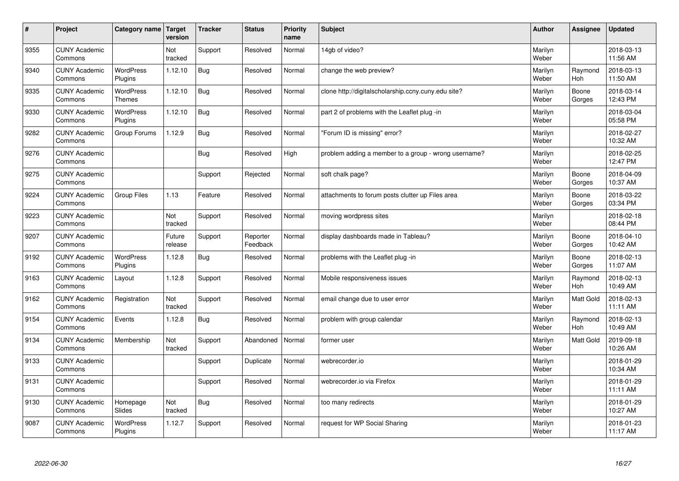| $\sharp$ | Project                         | Category name                     | Target<br>version | <b>Tracker</b> | <b>Status</b>        | <b>Priority</b><br>name | <b>Subject</b>                                       | <b>Author</b>    | <b>Assignee</b>       | <b>Updated</b>         |
|----------|---------------------------------|-----------------------------------|-------------------|----------------|----------------------|-------------------------|------------------------------------------------------|------------------|-----------------------|------------------------|
| 9355     | <b>CUNY Academic</b><br>Commons |                                   | Not<br>tracked    | Support        | Resolved             | Normal                  | 14gb of video?                                       | Marilyn<br>Weber |                       | 2018-03-13<br>11:56 AM |
| 9340     | <b>CUNY Academic</b><br>Commons | <b>WordPress</b><br>Plugins       | 1.12.10           | Bug            | Resolved             | Normal                  | change the web preview?                              | Marilyn<br>Weber | Raymond<br>Hoh        | 2018-03-13<br>11:50 AM |
| 9335     | <b>CUNY Academic</b><br>Commons | <b>WordPress</b><br><b>Themes</b> | 1.12.10           | Bug            | Resolved             | Normal                  | clone http://digitalscholarship.ccny.cuny.edu site?  | Marilyn<br>Weber | Boone<br>Gorges       | 2018-03-14<br>12:43 PM |
| 9330     | <b>CUNY Academic</b><br>Commons | <b>WordPress</b><br>Plugins       | 1.12.10           | Bug            | Resolved             | Normal                  | part 2 of problems with the Leaflet plug -in         | Marilyn<br>Weber |                       | 2018-03-04<br>05:58 PM |
| 9282     | <b>CUNY Academic</b><br>Commons | Group Forums                      | 1.12.9            | Bug            | Resolved             | Normal                  | "Forum ID is missing" error?                         | Marilyn<br>Weber |                       | 2018-02-27<br>10:32 AM |
| 9276     | <b>CUNY Academic</b><br>Commons |                                   |                   | Bug            | Resolved             | High                    | problem adding a member to a group - wrong username? | Marilyn<br>Weber |                       | 2018-02-25<br>12:47 PM |
| 9275     | <b>CUNY Academic</b><br>Commons |                                   |                   | Support        | Rejected             | Normal                  | soft chalk page?                                     | Marilyn<br>Weber | Boone<br>Gorges       | 2018-04-09<br>10:37 AM |
| 9224     | <b>CUNY Academic</b><br>Commons | <b>Group Files</b>                | 1.13              | Feature        | Resolved             | Normal                  | attachments to forum posts clutter up Files area     | Marilyn<br>Weber | Boone<br>Gorges       | 2018-03-22<br>03:34 PM |
| 9223     | <b>CUNY Academic</b><br>Commons |                                   | Not<br>tracked    | Support        | Resolved             | Normal                  | moving wordpress sites                               | Marilyn<br>Weber |                       | 2018-02-18<br>08:44 PM |
| 9207     | <b>CUNY Academic</b><br>Commons |                                   | Future<br>release | Support        | Reporter<br>Feedback | Normal                  | display dashboards made in Tableau?                  | Marilyn<br>Weber | Boone<br>Gorges       | 2018-04-10<br>10:42 AM |
| 9192     | <b>CUNY Academic</b><br>Commons | <b>WordPress</b><br>Plugins       | 1.12.8            | <b>Bug</b>     | Resolved             | Normal                  | problems with the Leaflet plug -in                   | Marilyn<br>Weber | Boone<br>Gorges       | 2018-02-13<br>11:07 AM |
| 9163     | <b>CUNY Academic</b><br>Commons | Layout                            | 1.12.8            | Support        | Resolved             | Normal                  | Mobile responsiveness issues                         | Marilyn<br>Weber | Raymond<br><b>Hoh</b> | 2018-02-13<br>10:49 AM |
| 9162     | <b>CUNY Academic</b><br>Commons | Registration                      | Not<br>tracked    | Support        | Resolved             | Normal                  | email change due to user error                       | Marilyn<br>Weber | Matt Gold             | 2018-02-13<br>11:11 AM |
| 9154     | <b>CUNY Academic</b><br>Commons | Events                            | 1.12.8            | Bug            | Resolved             | Normal                  | problem with group calendar                          | Marilyn<br>Weber | Raymond<br><b>Hoh</b> | 2018-02-13<br>10:49 AM |
| 9134     | <b>CUNY Academic</b><br>Commons | Membership                        | Not<br>tracked    | Support        | Abandoned            | Normal                  | former user                                          | Marilyn<br>Weber | <b>Matt Gold</b>      | 2019-09-18<br>10:26 AM |
| 9133     | <b>CUNY Academic</b><br>Commons |                                   |                   | Support        | Duplicate            | Normal                  | webrecorder.io                                       | Marilyn<br>Weber |                       | 2018-01-29<br>10:34 AM |
| 9131     | <b>CUNY Academic</b><br>Commons |                                   |                   | Support        | Resolved             | Normal                  | webrecorder.io via Firefox                           | Marilyn<br>Weber |                       | 2018-01-29<br>11:11 AM |
| 9130     | <b>CUNY Academic</b><br>Commons | Homepage<br>Slides                | Not<br>tracked    | Bug            | Resolved             | Normal                  | too many redirects                                   | Marilyn<br>Weber |                       | 2018-01-29<br>10:27 AM |
| 9087     | <b>CUNY Academic</b><br>Commons | <b>WordPress</b><br>Plugins       | 1.12.7            | Support        | Resolved             | Normal                  | request for WP Social Sharing                        | Marilyn<br>Weber |                       | 2018-01-23<br>11:17 AM |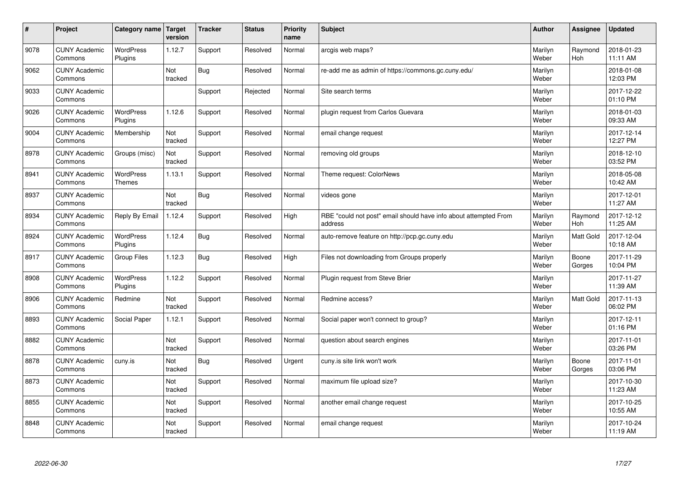| $\sharp$ | Project                         | Category name   Target            | version        | <b>Tracker</b> | <b>Status</b> | <b>Priority</b><br>name | <b>Subject</b>                                                              | <b>Author</b>    | Assignee              | <b>Updated</b>         |
|----------|---------------------------------|-----------------------------------|----------------|----------------|---------------|-------------------------|-----------------------------------------------------------------------------|------------------|-----------------------|------------------------|
| 9078     | <b>CUNY Academic</b><br>Commons | WordPress<br>Plugins              | 1.12.7         | Support        | Resolved      | Normal                  | arcgis web maps?                                                            | Marilyn<br>Weber | Raymond<br><b>Hoh</b> | 2018-01-23<br>11:11 AM |
| 9062     | <b>CUNY Academic</b><br>Commons |                                   | Not<br>tracked | <b>Bug</b>     | Resolved      | Normal                  | re-add me as admin of https://commons.gc.cuny.edu/                          | Marilyn<br>Weber |                       | 2018-01-08<br>12:03 PM |
| 9033     | <b>CUNY Academic</b><br>Commons |                                   |                | Support        | Rejected      | Normal                  | Site search terms                                                           | Marilyn<br>Weber |                       | 2017-12-22<br>01:10 PM |
| 9026     | <b>CUNY Academic</b><br>Commons | <b>WordPress</b><br>Plugins       | 1.12.6         | Support        | Resolved      | Normal                  | plugin request from Carlos Guevara                                          | Marilyn<br>Weber |                       | 2018-01-03<br>09:33 AM |
| 9004     | <b>CUNY Academic</b><br>Commons | Membership                        | Not<br>tracked | Support        | Resolved      | Normal                  | email change request                                                        | Marilyn<br>Weber |                       | 2017-12-14<br>12:27 PM |
| 8978     | <b>CUNY Academic</b><br>Commons | Groups (misc)                     | Not<br>tracked | Support        | Resolved      | Normal                  | removing old groups                                                         | Marilyn<br>Weber |                       | 2018-12-10<br>03:52 PM |
| 8941     | <b>CUNY Academic</b><br>Commons | <b>WordPress</b><br><b>Themes</b> | 1.13.1         | Support        | Resolved      | Normal                  | Theme request: ColorNews                                                    | Marilyn<br>Weber |                       | 2018-05-08<br>10:42 AM |
| 8937     | <b>CUNY Academic</b><br>Commons |                                   | Not<br>tracked | Bug            | Resolved      | Normal                  | videos gone                                                                 | Marilyn<br>Weber |                       | 2017-12-01<br>11:27 AM |
| 8934     | <b>CUNY Academic</b><br>Commons | Reply By Email                    | 1.12.4         | Support        | Resolved      | High                    | RBE "could not post" email should have info about attempted From<br>address | Marilyn<br>Weber | Raymond<br>Hoh        | 2017-12-12<br>11:25 AM |
| 8924     | <b>CUNY Academic</b><br>Commons | WordPress<br>Plugins              | 1.12.4         | Bug            | Resolved      | Normal                  | auto-remove feature on http://pcp.gc.cuny.edu                               | Marilyn<br>Weber | Matt Gold             | 2017-12-04<br>10:18 AM |
| 8917     | <b>CUNY Academic</b><br>Commons | <b>Group Files</b>                | 1.12.3         | Bug            | Resolved      | High                    | Files not downloading from Groups properly                                  | Marilyn<br>Weber | Boone<br>Gorges       | 2017-11-29<br>10:04 PM |
| 8908     | <b>CUNY Academic</b><br>Commons | <b>WordPress</b><br>Plugins       | 1.12.2         | Support        | Resolved      | Normal                  | Plugin request from Steve Brier                                             | Marilyn<br>Weber |                       | 2017-11-27<br>11:39 AM |
| 8906     | <b>CUNY Academic</b><br>Commons | Redmine                           | Not<br>tracked | Support        | Resolved      | Normal                  | Redmine access?                                                             | Marilyn<br>Weber | <b>Matt Gold</b>      | 2017-11-13<br>06:02 PM |
| 8893     | <b>CUNY Academic</b><br>Commons | Social Paper                      | 1.12.1         | Support        | Resolved      | Normal                  | Social paper won't connect to group?                                        | Marilyn<br>Weber |                       | 2017-12-11<br>01:16 PM |
| 8882     | <b>CUNY Academic</b><br>Commons |                                   | Not<br>tracked | Support        | Resolved      | Normal                  | question about search engines                                               | Marilyn<br>Weber |                       | 2017-11-01<br>03:26 PM |
| 8878     | <b>CUNY Academic</b><br>Commons | cuny.is                           | Not<br>tracked | Bug            | Resolved      | Urgent                  | cuny.is site link won't work                                                | Marilyn<br>Weber | Boone<br>Gorges       | 2017-11-01<br>03:06 PM |
| 8873     | <b>CUNY Academic</b><br>Commons |                                   | Not<br>tracked | Support        | Resolved      | Normal                  | maximum file upload size?                                                   | Marilyn<br>Weber |                       | 2017-10-30<br>11:23 AM |
| 8855     | <b>CUNY Academic</b><br>Commons |                                   | Not<br>tracked | Support        | Resolved      | Normal                  | another email change request                                                | Marilyn<br>Weber |                       | 2017-10-25<br>10:55 AM |
| 8848     | <b>CUNY Academic</b><br>Commons |                                   | Not<br>tracked | Support        | Resolved      | Normal                  | email change request                                                        | Marilyn<br>Weber |                       | 2017-10-24<br>11:19 AM |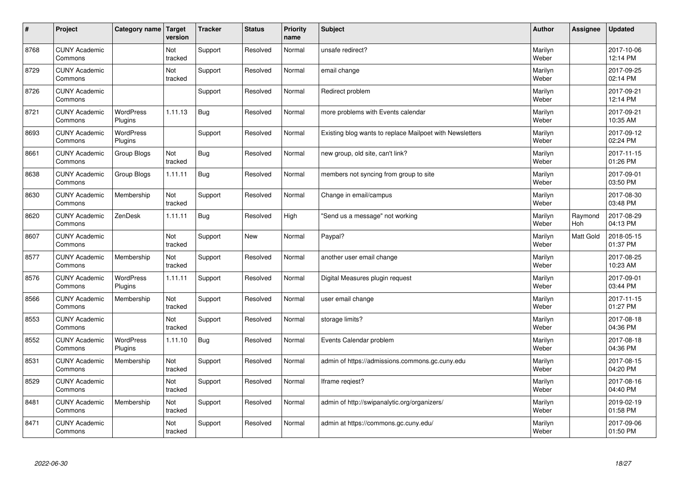| $\vert$ # | Project                         | Category name   Target      | version        | <b>Tracker</b> | <b>Status</b> | <b>Priority</b><br>name | <b>Subject</b>                                           | <b>Author</b>    | Assignee       | <b>Updated</b>         |
|-----------|---------------------------------|-----------------------------|----------------|----------------|---------------|-------------------------|----------------------------------------------------------|------------------|----------------|------------------------|
| 8768      | <b>CUNY Academic</b><br>Commons |                             | Not<br>tracked | Support        | Resolved      | Normal                  | unsafe redirect?                                         | Marilyn<br>Weber |                | 2017-10-06<br>12:14 PM |
| 8729      | <b>CUNY Academic</b><br>Commons |                             | Not<br>tracked | Support        | Resolved      | Normal                  | email change                                             | Marilyn<br>Weber |                | 2017-09-25<br>02:14 PM |
| 8726      | <b>CUNY Academic</b><br>Commons |                             |                | Support        | Resolved      | Normal                  | Redirect problem                                         | Marilyn<br>Weber |                | 2017-09-21<br>12:14 PM |
| 8721      | <b>CUNY Academic</b><br>Commons | <b>WordPress</b><br>Plugins | 1.11.13        | Bug            | Resolved      | Normal                  | more problems with Events calendar                       | Marilyn<br>Weber |                | 2017-09-21<br>10:35 AM |
| 8693      | <b>CUNY Academic</b><br>Commons | WordPress<br>Plugins        |                | Support        | Resolved      | Normal                  | Existing blog wants to replace Mailpoet with Newsletters | Marilyn<br>Weber |                | 2017-09-12<br>02:24 PM |
| 8661      | <b>CUNY Academic</b><br>Commons | Group Blogs                 | Not<br>tracked | <b>Bug</b>     | Resolved      | Normal                  | new group, old site, can't link?                         | Marilyn<br>Weber |                | 2017-11-15<br>01:26 PM |
| 8638      | <b>CUNY Academic</b><br>Commons | Group Blogs                 | 1.11.11        | Bug            | Resolved      | Normal                  | members not syncing from group to site                   | Marilyn<br>Weber |                | 2017-09-01<br>03:50 PM |
| 8630      | <b>CUNY Academic</b><br>Commons | Membership                  | Not<br>tracked | Support        | Resolved      | Normal                  | Change in email/campus                                   | Marilyn<br>Weber |                | 2017-08-30<br>03:48 PM |
| 8620      | <b>CUNY Academic</b><br>Commons | ZenDesk                     | 1.11.11        | Bug            | Resolved      | High                    | 'Send us a message" not working                          | Marilyn<br>Weber | Raymond<br>Hoh | 2017-08-29<br>04:13 PM |
| 8607      | <b>CUNY Academic</b><br>Commons |                             | Not<br>tracked | Support        | <b>New</b>    | Normal                  | Paypal?                                                  | Marilyn<br>Weber | Matt Gold      | 2018-05-15<br>01:37 PM |
| 8577      | <b>CUNY Academic</b><br>Commons | Membership                  | Not<br>tracked | Support        | Resolved      | Normal                  | another user email change                                | Marilyn<br>Weber |                | 2017-08-25<br>10:23 AM |
| 8576      | <b>CUNY Academic</b><br>Commons | WordPress<br>Plugins        | 1.11.11        | Support        | Resolved      | Normal                  | Digital Measures plugin request                          | Marilyn<br>Weber |                | 2017-09-01<br>03:44 PM |
| 8566      | <b>CUNY Academic</b><br>Commons | Membership                  | Not<br>tracked | Support        | Resolved      | Normal                  | user email change                                        | Marilyn<br>Weber |                | 2017-11-15<br>01:27 PM |
| 8553      | <b>CUNY Academic</b><br>Commons |                             | Not<br>tracked | Support        | Resolved      | Normal                  | storage limits?                                          | Marilyn<br>Weber |                | 2017-08-18<br>04:36 PM |
| 8552      | <b>CUNY Academic</b><br>Commons | WordPress<br>Plugins        | 1.11.10        | <b>Bug</b>     | Resolved      | Normal                  | Events Calendar problem                                  | Marilyn<br>Weber |                | 2017-08-18<br>04:36 PM |
| 8531      | <b>CUNY Academic</b><br>Commons | Membership                  | Not<br>tracked | Support        | Resolved      | Normal                  | admin of https://admissions.commons.gc.cuny.edu          | Marilyn<br>Weber |                | 2017-08-15<br>04:20 PM |
| 8529      | <b>CUNY Academic</b><br>Commons |                             | Not<br>tracked | Support        | Resolved      | Normal                  | Iframe regiest?                                          | Marilyn<br>Weber |                | 2017-08-16<br>04:40 PM |
| 8481      | <b>CUNY Academic</b><br>Commons | Membership                  | Not<br>tracked | Support        | Resolved      | Normal                  | admin of http://swipanalytic.org/organizers/             | Marilyn<br>Weber |                | 2019-02-19<br>01:58 PM |
| 8471      | <b>CUNY Academic</b><br>Commons |                             | Not<br>tracked | Support        | Resolved      | Normal                  | admin at https://commons.gc.cuny.edu/                    | Marilyn<br>Weber |                | 2017-09-06<br>01:50 PM |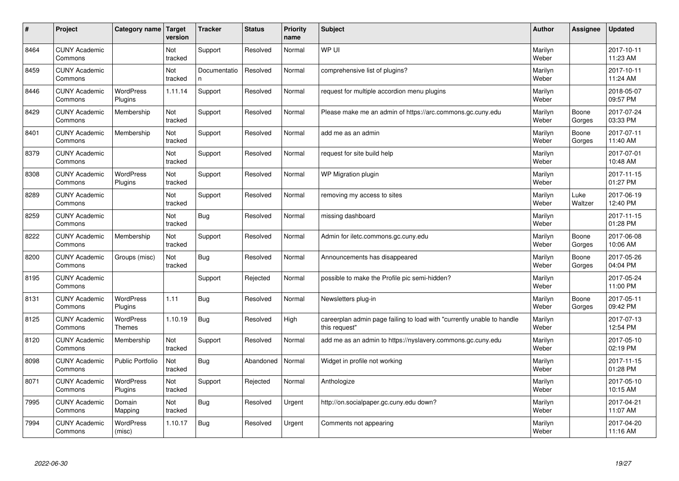| #    | Project                         | Category name                     | Target<br>version | <b>Tracker</b>     | <b>Status</b> | <b>Priority</b><br>name | <b>Subject</b>                                                                          | <b>Author</b>    | Assignee        | <b>Updated</b>         |
|------|---------------------------------|-----------------------------------|-------------------|--------------------|---------------|-------------------------|-----------------------------------------------------------------------------------------|------------------|-----------------|------------------------|
| 8464 | <b>CUNY Academic</b><br>Commons |                                   | Not<br>tracked    | Support            | Resolved      | Normal                  | WP UI                                                                                   | Marilyn<br>Weber |                 | 2017-10-11<br>11:23 AM |
| 8459 | <b>CUNY Academic</b><br>Commons |                                   | Not<br>tracked    | Documentatio<br>n. | Resolved      | Normal                  | comprehensive list of plugins?                                                          | Marilyn<br>Weber |                 | 2017-10-11<br>11:24 AM |
| 8446 | <b>CUNY Academic</b><br>Commons | <b>WordPress</b><br>Plugins       | 1.11.14           | Support            | Resolved      | Normal                  | request for multiple accordion menu plugins                                             | Marilyn<br>Weber |                 | 2018-05-07<br>09:57 PM |
| 8429 | <b>CUNY Academic</b><br>Commons | Membership                        | Not<br>tracked    | Support            | Resolved      | Normal                  | Please make me an admin of https://arc.commons.gc.cuny.edu                              | Marilyn<br>Weber | Boone<br>Gorges | 2017-07-24<br>03:33 PM |
| 8401 | <b>CUNY Academic</b><br>Commons | Membership                        | Not<br>tracked    | Support            | Resolved      | Normal                  | add me as an admin                                                                      | Marilyn<br>Weber | Boone<br>Gorges | 2017-07-11<br>11:40 AM |
| 8379 | <b>CUNY Academic</b><br>Commons |                                   | Not<br>tracked    | Support            | Resolved      | Normal                  | request for site build help                                                             | Marilyn<br>Weber |                 | 2017-07-01<br>10:48 AM |
| 8308 | <b>CUNY Academic</b><br>Commons | <b>WordPress</b><br>Plugins       | Not<br>tracked    | Support            | Resolved      | Normal                  | WP Migration plugin                                                                     | Marilyn<br>Weber |                 | 2017-11-15<br>01:27 PM |
| 8289 | <b>CUNY Academic</b><br>Commons |                                   | Not<br>tracked    | Support            | Resolved      | Normal                  | removing my access to sites                                                             | Marilyn<br>Weber | Luke<br>Waltzer | 2017-06-19<br>12:40 PM |
| 8259 | <b>CUNY Academic</b><br>Commons |                                   | Not<br>tracked    | Bug                | Resolved      | Normal                  | missing dashboard                                                                       | Marilyn<br>Weber |                 | 2017-11-15<br>01:28 PM |
| 8222 | <b>CUNY Academic</b><br>Commons | Membership                        | Not<br>tracked    | Support            | Resolved      | Normal                  | Admin for iletc.commons.gc.cuny.edu                                                     | Marilyn<br>Weber | Boone<br>Gorges | 2017-06-08<br>10:06 AM |
| 8200 | <b>CUNY Academic</b><br>Commons | Groups (misc)                     | Not<br>tracked    | Bug                | Resolved      | Normal                  | Announcements has disappeared                                                           | Marilyn<br>Weber | Boone<br>Gorges | 2017-05-26<br>04:04 PM |
| 8195 | <b>CUNY Academic</b><br>Commons |                                   |                   | Support            | Rejected      | Normal                  | possible to make the Profile pic semi-hidden?                                           | Marilyn<br>Weber |                 | 2017-05-24<br>11:00 PM |
| 8131 | <b>CUNY Academic</b><br>Commons | <b>WordPress</b><br>Plugins       | 1.11              | Bug                | Resolved      | Normal                  | Newsletters plug-in                                                                     | Marilyn<br>Weber | Boone<br>Gorges | 2017-05-11<br>09:42 PM |
| 8125 | <b>CUNY Academic</b><br>Commons | <b>WordPress</b><br><b>Themes</b> | 1.10.19           | Bug                | Resolved      | High                    | careerplan admin page failing to load with "currently unable to handle<br>this request" | Marilyn<br>Weber |                 | 2017-07-13<br>12:54 PM |
| 8120 | <b>CUNY Academic</b><br>Commons | Membership                        | Not<br>tracked    | Support            | Resolved      | Normal                  | add me as an admin to https://nyslavery.commons.gc.cuny.edu                             | Marilyn<br>Weber |                 | 2017-05-10<br>02:19 PM |
| 8098 | <b>CUNY Academic</b><br>Commons | <b>Public Portfolio</b>           | Not<br>tracked    | Bug                | Abandoned     | Normal                  | Widget in profile not working                                                           | Marilyn<br>Weber |                 | 2017-11-15<br>01:28 PM |
| 8071 | <b>CUNY Academic</b><br>Commons | <b>WordPress</b><br>Plugins       | Not<br>tracked    | Support            | Rejected      | Normal                  | Anthologize                                                                             | Marilyn<br>Weber |                 | 2017-05-10<br>10:15 AM |
| 7995 | <b>CUNY Academic</b><br>Commons | Domain<br>Mapping                 | Not<br>tracked    | Bug                | Resolved      | Urgent                  | http://on.socialpaper.gc.cuny.edu down?                                                 | Marilyn<br>Weber |                 | 2017-04-21<br>11:07 AM |
| 7994 | <b>CUNY Academic</b><br>Commons | <b>WordPress</b><br>(misc)        | 1.10.17           | Bug                | Resolved      | Urgent                  | Comments not appearing                                                                  | Marilyn<br>Weber |                 | 2017-04-20<br>11:16 AM |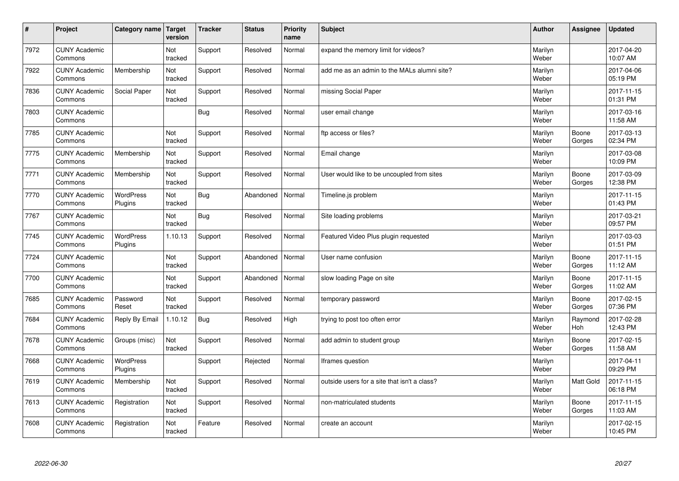| #    | Project                         | Category name   Target      | version        | <b>Tracker</b> | <b>Status</b> | <b>Priority</b><br>name | <b>Subject</b>                               | <b>Author</b>    | Assignee              | <b>Updated</b>         |
|------|---------------------------------|-----------------------------|----------------|----------------|---------------|-------------------------|----------------------------------------------|------------------|-----------------------|------------------------|
| 7972 | <b>CUNY Academic</b><br>Commons |                             | Not<br>tracked | Support        | Resolved      | Normal                  | expand the memory limit for videos?          | Marilyn<br>Weber |                       | 2017-04-20<br>10:07 AM |
| 7922 | <b>CUNY Academic</b><br>Commons | Membership                  | Not<br>tracked | Support        | Resolved      | Normal                  | add me as an admin to the MALs alumni site?  | Marilyn<br>Weber |                       | 2017-04-06<br>05:19 PM |
| 7836 | <b>CUNY Academic</b><br>Commons | Social Paper                | Not<br>tracked | Support        | Resolved      | Normal                  | missing Social Paper                         | Marilyn<br>Weber |                       | 2017-11-15<br>01:31 PM |
| 7803 | <b>CUNY Academic</b><br>Commons |                             |                | Bug            | Resolved      | Normal                  | user email change                            | Marilyn<br>Weber |                       | 2017-03-16<br>11:58 AM |
| 7785 | <b>CUNY Academic</b><br>Commons |                             | Not<br>tracked | Support        | Resolved      | Normal                  | ftp access or files?                         | Marilyn<br>Weber | Boone<br>Gorges       | 2017-03-13<br>02:34 PM |
| 7775 | <b>CUNY Academic</b><br>Commons | Membership                  | Not<br>tracked | Support        | Resolved      | Normal                  | Email change                                 | Marilyn<br>Weber |                       | 2017-03-08<br>10:09 PM |
| 7771 | <b>CUNY Academic</b><br>Commons | Membership                  | Not<br>tracked | Support        | Resolved      | Normal                  | User would like to be uncoupled from sites   | Marilyn<br>Weber | Boone<br>Gorges       | 2017-03-09<br>12:38 PM |
| 7770 | <b>CUNY Academic</b><br>Commons | WordPress<br>Plugins        | Not<br>tracked | Bug            | Abandoned     | Normal                  | Timeline.js problem                          | Marilyn<br>Weber |                       | 2017-11-15<br>01:43 PM |
| 7767 | <b>CUNY Academic</b><br>Commons |                             | Not<br>tracked | Bug            | Resolved      | Normal                  | Site loading problems                        | Marilyn<br>Weber |                       | 2017-03-21<br>09:57 PM |
| 7745 | <b>CUNY Academic</b><br>Commons | <b>WordPress</b><br>Plugins | 1.10.13        | Support        | Resolved      | Normal                  | Featured Video Plus plugin requested         | Marilyn<br>Weber |                       | 2017-03-03<br>01:51 PM |
| 7724 | <b>CUNY Academic</b><br>Commons |                             | Not<br>tracked | Support        | Abandoned     | Normal                  | User name confusion                          | Marilyn<br>Weber | Boone<br>Gorges       | 2017-11-15<br>11:12 AM |
| 7700 | <b>CUNY Academic</b><br>Commons |                             | Not<br>tracked | Support        | Abandoned     | Normal                  | slow loading Page on site                    | Marilyn<br>Weber | Boone<br>Gorges       | 2017-11-15<br>11:02 AM |
| 7685 | <b>CUNY Academic</b><br>Commons | Password<br>Reset           | Not<br>tracked | Support        | Resolved      | Normal                  | temporary password                           | Marilyn<br>Weber | Boone<br>Gorges       | 2017-02-15<br>07:36 PM |
| 7684 | <b>CUNY Academic</b><br>Commons | Reply By Email              | 1.10.12        | Bug            | Resolved      | High                    | trying to post too often error               | Marilyn<br>Weber | Raymond<br><b>Hoh</b> | 2017-02-28<br>12:43 PM |
| 7678 | <b>CUNY Academic</b><br>Commons | Groups (misc)               | Not<br>tracked | Support        | Resolved      | Normal                  | add admin to student group                   | Marilyn<br>Weber | Boone<br>Gorges       | 2017-02-15<br>11:58 AM |
| 7668 | <b>CUNY Academic</b><br>Commons | WordPress<br>Plugins        |                | Support        | Rejected      | Normal                  | Iframes question                             | Marilyn<br>Weber |                       | 2017-04-11<br>09:29 PM |
| 7619 | <b>CUNY Academic</b><br>Commons | Membership                  | Not<br>tracked | Support        | Resolved      | Normal                  | outside users for a site that isn't a class? | Marilyn<br>Weber | <b>Matt Gold</b>      | 2017-11-15<br>06:18 PM |
| 7613 | <b>CUNY Academic</b><br>Commons | Registration                | Not<br>tracked | Support        | Resolved      | Normal                  | non-matriculated students                    | Marilyn<br>Weber | Boone<br>Gorges       | 2017-11-15<br>11:03 AM |
| 7608 | <b>CUNY Academic</b><br>Commons | Registration                | Not<br>tracked | Feature        | Resolved      | Normal                  | create an account                            | Marilyn<br>Weber |                       | 2017-02-15<br>10:45 PM |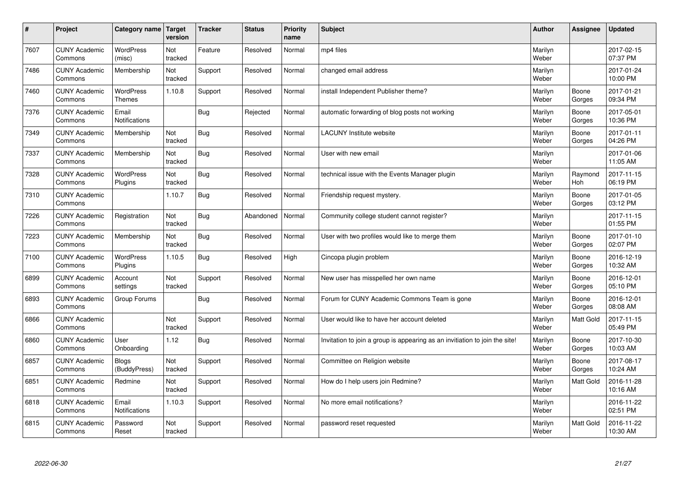| $\sharp$ | Project                         | Category name                     | Target<br>version | <b>Tracker</b> | <b>Status</b> | <b>Priority</b><br>name | <b>Subject</b>                                                              | <b>Author</b>    | Assignee         | Updated                |
|----------|---------------------------------|-----------------------------------|-------------------|----------------|---------------|-------------------------|-----------------------------------------------------------------------------|------------------|------------------|------------------------|
| 7607     | <b>CUNY Academic</b><br>Commons | <b>WordPress</b><br>(misc)        | Not<br>tracked    | Feature        | Resolved      | Normal                  | mp4 files                                                                   | Marilyn<br>Weber |                  | 2017-02-15<br>07:37 PM |
| 7486     | <b>CUNY Academic</b><br>Commons | Membership                        | Not<br>tracked    | Support        | Resolved      | Normal                  | changed email address                                                       | Marilyn<br>Weber |                  | 2017-01-24<br>10:00 PM |
| 7460     | <b>CUNY Academic</b><br>Commons | <b>WordPress</b><br><b>Themes</b> | 1.10.8            | Support        | Resolved      | Normal                  | install Independent Publisher theme?                                        | Marilyn<br>Weber | Boone<br>Gorges  | 2017-01-21<br>09:34 PM |
| 7376     | <b>CUNY Academic</b><br>Commons | Email<br>Notifications            |                   | Bug            | Rejected      | Normal                  | automatic forwarding of blog posts not working                              | Marilyn<br>Weber | Boone<br>Gorges  | 2017-05-01<br>10:36 PM |
| 7349     | <b>CUNY Academic</b><br>Commons | Membership                        | Not<br>tracked    | Bug            | Resolved      | Normal                  | <b>LACUNY</b> Institute website                                             | Marilyn<br>Weber | Boone<br>Gorges  | 2017-01-11<br>04:26 PM |
| 7337     | <b>CUNY Academic</b><br>Commons | Membership                        | Not<br>tracked    | Bug            | Resolved      | Normal                  | User with new email                                                         | Marilyn<br>Weber |                  | 2017-01-06<br>11:05 AM |
| 7328     | <b>CUNY Academic</b><br>Commons | <b>WordPress</b><br>Plugins       | Not<br>tracked    | Bug            | Resolved      | Normal                  | technical issue with the Events Manager plugin                              | Marilyn<br>Weber | Raymond<br>Hoh   | 2017-11-15<br>06:19 PM |
| 7310     | <b>CUNY Academic</b><br>Commons |                                   | 1.10.7            | Bug            | Resolved      | Normal                  | Friendship request mystery.                                                 | Marilyn<br>Weber | Boone<br>Gorges  | 2017-01-05<br>03:12 PM |
| 7226     | <b>CUNY Academic</b><br>Commons | Registration                      | Not<br>tracked    | Bug            | Abandoned     | Normal                  | Community college student cannot register?                                  | Marilyn<br>Weber |                  | 2017-11-15<br>01:55 PM |
| 7223     | <b>CUNY Academic</b><br>Commons | Membership                        | Not<br>tracked    | Bug            | Resolved      | Normal                  | User with two profiles would like to merge them                             | Marilyn<br>Weber | Boone<br>Gorges  | 2017-01-10<br>02:07 PM |
| 7100     | <b>CUNY Academic</b><br>Commons | <b>WordPress</b><br>Plugins       | 1.10.5            | Bug            | Resolved      | High                    | Cincopa plugin problem                                                      | Marilyn<br>Weber | Boone<br>Gorges  | 2016-12-19<br>10:32 AM |
| 6899     | <b>CUNY Academic</b><br>Commons | Account<br>settings               | Not<br>tracked    | Support        | Resolved      | Normal                  | New user has misspelled her own name                                        | Marilyn<br>Weber | Boone<br>Gorges  | 2016-12-01<br>05:10 PM |
| 6893     | <b>CUNY Academic</b><br>Commons | Group Forums                      |                   | Bug            | Resolved      | Normal                  | Forum for CUNY Academic Commons Team is gone                                | Marilyn<br>Weber | Boone<br>Gorges  | 2016-12-01<br>08:08 AM |
| 6866     | <b>CUNY Academic</b><br>Commons |                                   | Not<br>tracked    | Support        | Resolved      | Normal                  | User would like to have her account deleted                                 | Marilyn<br>Weber | <b>Matt Gold</b> | 2017-11-15<br>05:49 PM |
| 6860     | <b>CUNY Academic</b><br>Commons | User<br>Onboarding                | 1.12              | Bug            | Resolved      | Normal                  | Invitation to join a group is appearing as an invitiation to join the site! | Marilyn<br>Weber | Boone<br>Gorges  | 2017-10-30<br>10:03 AM |
| 6857     | <b>CUNY Academic</b><br>Commons | <b>Blogs</b><br>(BuddyPress)      | Not<br>tracked    | Support        | Resolved      | Normal                  | Committee on Religion website                                               | Marilyn<br>Weber | Boone<br>Gorges  | 2017-08-17<br>10:24 AM |
| 6851     | <b>CUNY Academic</b><br>Commons | Redmine                           | Not<br>tracked    | Support        | Resolved      | Normal                  | How do I help users join Redmine?                                           | Marilyn<br>Weber | <b>Matt Gold</b> | 2016-11-28<br>10:16 AM |
| 6818     | <b>CUNY Academic</b><br>Commons | Email<br>Notifications            | 1.10.3            | Support        | Resolved      | Normal                  | No more email notifications?                                                | Marilyn<br>Weber |                  | 2016-11-22<br>02:51 PM |
| 6815     | <b>CUNY Academic</b><br>Commons | Password<br>Reset                 | Not<br>tracked    | Support        | Resolved      | Normal                  | password reset requested                                                    | Marilyn<br>Weber | <b>Matt Gold</b> | 2016-11-22<br>10:30 AM |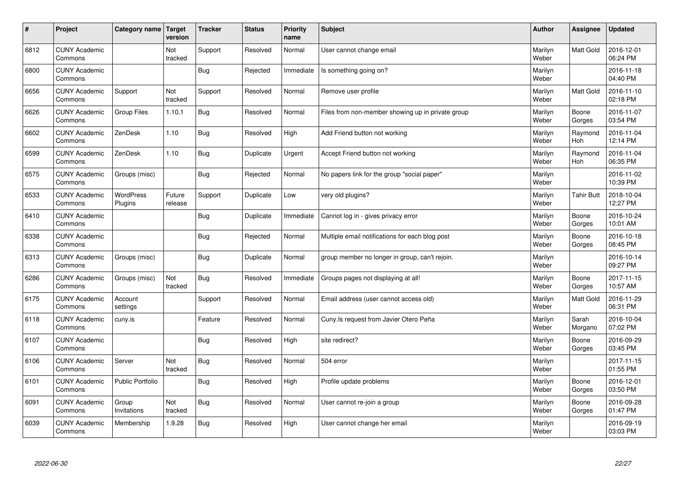| $\sharp$ | Project                         | Category name   Target      | version           | <b>Tracker</b> | <b>Status</b> | <b>Priority</b><br>name | <b>Subject</b>                                    | <b>Author</b>    | Assignee              | <b>Updated</b>         |
|----------|---------------------------------|-----------------------------|-------------------|----------------|---------------|-------------------------|---------------------------------------------------|------------------|-----------------------|------------------------|
| 6812     | <b>CUNY Academic</b><br>Commons |                             | Not<br>tracked    | Support        | Resolved      | Normal                  | User cannot change email                          | Marilyn<br>Weber | Matt Gold             | 2016-12-01<br>06:24 PM |
| 6800     | <b>CUNY Academic</b><br>Commons |                             |                   | Bug            | Rejected      | Immediate               | Is something going on?                            | Marilyn<br>Weber |                       | 2016-11-18<br>04:40 PM |
| 6656     | <b>CUNY Academic</b><br>Commons | Support                     | Not<br>tracked    | Support        | Resolved      | Normal                  | Remove user profile                               | Marilyn<br>Weber | <b>Matt Gold</b>      | 2016-11-10<br>02:18 PM |
| 6626     | <b>CUNY Academic</b><br>Commons | <b>Group Files</b>          | 1.10.1            | Bug            | Resolved      | Normal                  | Files from non-member showing up in private group | Marilyn<br>Weber | Boone<br>Gorges       | 2016-11-07<br>03:54 PM |
| 6602     | <b>CUNY Academic</b><br>Commons | ZenDesk                     | 1.10              | Bug            | Resolved      | High                    | Add Friend button not working                     | Marilyn<br>Weber | Raymond<br><b>Hoh</b> | 2016-11-04<br>12:14 PM |
| 6599     | <b>CUNY Academic</b><br>Commons | ZenDesk                     | 1.10              | <b>Bug</b>     | Duplicate     | Urgent                  | Accept Friend button not working                  | Marilyn<br>Weber | Raymond<br>Hoh        | 2016-11-04<br>06:35 PM |
| 6575     | <b>CUNY Academic</b><br>Commons | Groups (misc)               |                   | Bug            | Rejected      | Normal                  | No papers link for the group "social paper"       | Marilyn<br>Weber |                       | 2016-11-02<br>10:39 PM |
| 6533     | <b>CUNY Academic</b><br>Commons | <b>WordPress</b><br>Plugins | Future<br>release | Support        | Duplicate     | Low                     | very old plugins?                                 | Marilyn<br>Weber | <b>Tahir Butt</b>     | 2018-10-04<br>12:27 PM |
| 6410     | <b>CUNY Academic</b><br>Commons |                             |                   | Bug            | Duplicate     | Immediate               | Cannot log in - gives privacy error               | Marilyn<br>Weber | Boone<br>Gorges       | 2016-10-24<br>10:01 AM |
| 6338     | <b>CUNY Academic</b><br>Commons |                             |                   | Bug            | Rejected      | Normal                  | Multiple email notifications for each blog post   | Marilyn<br>Weber | Boone<br>Gorges       | 2016-10-18<br>08:45 PM |
| 6313     | <b>CUNY Academic</b><br>Commons | Groups (misc)               |                   | <b>Bug</b>     | Duplicate     | Normal                  | group member no longer in group, can't rejoin.    | Marilyn<br>Weber |                       | 2016-10-14<br>09:27 PM |
| 6286     | <b>CUNY Academic</b><br>Commons | Groups (misc)               | Not<br>tracked    | Bug            | Resolved      | Immediate               | Groups pages not displaying at all!               | Marilyn<br>Weber | Boone<br>Gorges       | 2017-11-15<br>10:57 AM |
| 6175     | <b>CUNY Academic</b><br>Commons | Account<br>settings         |                   | Support        | Resolved      | Normal                  | Email address (user cannot access old)            | Marilyn<br>Weber | Matt Gold             | 2016-11-29<br>06:31 PM |
| 6118     | <b>CUNY Academic</b><br>Commons | cuny.is                     |                   | Feature        | Resolved      | Normal                  | Cuny.Is request from Javier Otero Peña            | Marilyn<br>Weber | Sarah<br>Morgano      | 2016-10-04<br>07:02 PM |
| 6107     | <b>CUNY Academic</b><br>Commons |                             |                   | <b>Bug</b>     | Resolved      | High                    | site redirect?                                    | Marilyn<br>Weber | Boone<br>Gorges       | 2016-09-29<br>03:45 PM |
| 6106     | <b>CUNY Academic</b><br>Commons | Server                      | Not<br>tracked    | Bug            | Resolved      | Normal                  | 504 error                                         | Marilyn<br>Weber |                       | 2017-11-15<br>01:55 PM |
| 6101     | <b>CUNY Academic</b><br>Commons | <b>Public Portfolio</b>     |                   | Bug            | Resolved      | High                    | Profile update problems                           | Marilyn<br>Weber | Boone<br>Gorges       | 2016-12-01<br>03:50 PM |
| 6091     | <b>CUNY Academic</b><br>Commons | Group<br>Invitations        | Not<br>tracked    | <b>Bug</b>     | Resolved      | Normal                  | User cannot re-join a group                       | Marilyn<br>Weber | Boone<br>Gorges       | 2016-09-28<br>01:47 PM |
| 6039     | <b>CUNY Academic</b><br>Commons | Membership                  | 1.9.28            | <b>Bug</b>     | Resolved      | High                    | User cannot change her email                      | Marilyn<br>Weber |                       | 2016-09-19<br>03:03 PM |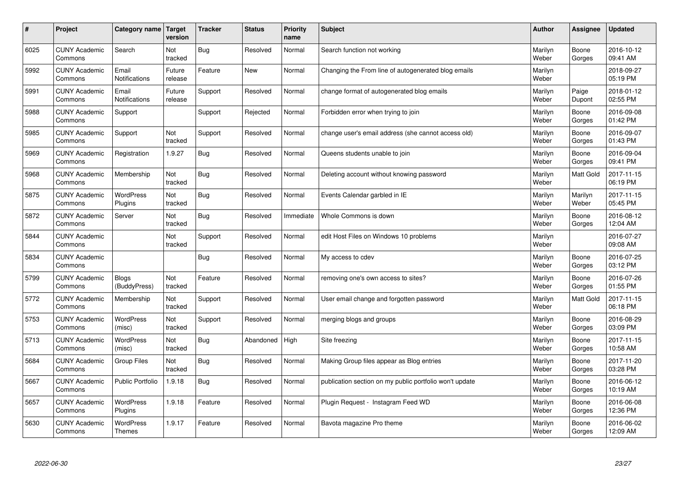| $\#$ | Project                         | Category name   Target            | version           | <b>Tracker</b> | <b>Status</b> | Priority<br>name | <b>Subject</b>                                          | <b>Author</b>    | <b>Assignee</b>  | <b>Updated</b>         |
|------|---------------------------------|-----------------------------------|-------------------|----------------|---------------|------------------|---------------------------------------------------------|------------------|------------------|------------------------|
| 6025 | <b>CUNY Academic</b><br>Commons | Search                            | Not<br>tracked    | Bug            | Resolved      | Normal           | Search function not working                             | Marilyn<br>Weber | Boone<br>Gorges  | 2016-10-12<br>09:41 AM |
| 5992 | <b>CUNY Academic</b><br>Commons | Email<br>Notifications            | Future<br>release | Feature        | New           | Normal           | Changing the From line of autogenerated blog emails     | Marilyn<br>Weber |                  | 2018-09-27<br>05:19 PM |
| 5991 | <b>CUNY Academic</b><br>Commons | Email<br><b>Notifications</b>     | Future<br>release | Support        | Resolved      | Normal           | change format of autogenerated blog emails              | Marilyn<br>Weber | Paige<br>Dupont  | 2018-01-12<br>02:55 PM |
| 5988 | <b>CUNY Academic</b><br>Commons | Support                           |                   | Support        | Rejected      | Normal           | Forbidden error when trying to join                     | Marilyn<br>Weber | Boone<br>Gorges  | 2016-09-08<br>01:42 PM |
| 5985 | <b>CUNY Academic</b><br>Commons | Support                           | Not<br>tracked    | Support        | Resolved      | Normal           | change user's email address (she cannot access old)     | Marilyn<br>Weber | Boone<br>Gorges  | 2016-09-07<br>01:43 PM |
| 5969 | <b>CUNY Academic</b><br>Commons | Registration                      | 1.9.27            | Bug            | Resolved      | Normal           | Queens students unable to join                          | Marilyn<br>Weber | Boone<br>Gorges  | 2016-09-04<br>09:41 PM |
| 5968 | <b>CUNY Academic</b><br>Commons | Membership                        | Not<br>tracked    | Bug            | Resolved      | Normal           | Deleting account without knowing password               | Marilyn<br>Weber | <b>Matt Gold</b> | 2017-11-15<br>06:19 PM |
| 5875 | <b>CUNY Academic</b><br>Commons | WordPress<br>Plugins              | Not<br>tracked    | Bug            | Resolved      | Normal           | Events Calendar garbled in IE                           | Marilyn<br>Weber | Marilyn<br>Weber | 2017-11-15<br>05:45 PM |
| 5872 | <b>CUNY Academic</b><br>Commons | Server                            | Not<br>tracked    | Bug            | Resolved      | Immediate        | Whole Commons is down                                   | Marilyn<br>Weber | Boone<br>Gorges  | 2016-08-12<br>12:04 AM |
| 5844 | <b>CUNY Academic</b><br>Commons |                                   | Not<br>tracked    | Support        | Resolved      | Normal           | edit Host Files on Windows 10 problems                  | Marilyn<br>Weber |                  | 2016-07-27<br>09:08 AM |
| 5834 | <b>CUNY Academic</b><br>Commons |                                   |                   | Bug            | Resolved      | Normal           | My access to cdev                                       | Marilyn<br>Weber | Boone<br>Gorges  | 2016-07-25<br>03:12 PM |
| 5799 | <b>CUNY Academic</b><br>Commons | Blogs<br>(BuddyPress)             | Not<br>tracked    | Feature        | Resolved      | Normal           | removing one's own access to sites?                     | Marilyn<br>Weber | Boone<br>Gorges  | 2016-07-26<br>01:55 PM |
| 5772 | <b>CUNY Academic</b><br>Commons | Membership                        | Not<br>tracked    | Support        | Resolved      | Normal           | User email change and forgotten password                | Marilyn<br>Weber | <b>Matt Gold</b> | 2017-11-15<br>06:18 PM |
| 5753 | <b>CUNY Academic</b><br>Commons | WordPress<br>(misc)               | Not<br>tracked    | Support        | Resolved      | Normal           | merging blogs and groups                                | Marilyn<br>Weber | Boone<br>Gorges  | 2016-08-29<br>03:09 PM |
| 5713 | <b>CUNY Academic</b><br>Commons | <b>WordPress</b><br>(misc)        | Not<br>tracked    | Bug            | Abandoned     | High             | Site freezing                                           | Marilyn<br>Weber | Boone<br>Gorges  | 2017-11-15<br>10:58 AM |
| 5684 | <b>CUNY Academic</b><br>Commons | <b>Group Files</b>                | Not<br>tracked    | Bug            | Resolved      | Normal           | Making Group files appear as Blog entries               | Marilyn<br>Weber | Boone<br>Gorges  | 2017-11-20<br>03:28 PM |
| 5667 | <b>CUNY Academic</b><br>Commons | Public Portfolio                  | 1.9.18            | <b>Bug</b>     | Resolved      | Normal           | publication section on my public portfolio won't update | Marilyn<br>Weber | Boone<br>Gorges  | 2016-06-12<br>10:19 AM |
| 5657 | <b>CUNY Academic</b><br>Commons | WordPress<br>Plugins              | 1.9.18            | Feature        | Resolved      | Normal           | Plugin Request - Instagram Feed WD                      | Marilyn<br>Weber | Boone<br>Gorges  | 2016-06-08<br>12:36 PM |
| 5630 | <b>CUNY Academic</b><br>Commons | <b>WordPress</b><br><b>Themes</b> | 1.9.17            | Feature        | Resolved      | Normal           | Bavota magazine Pro theme                               | Marilyn<br>Weber | Boone<br>Gorges  | 2016-06-02<br>12:09 AM |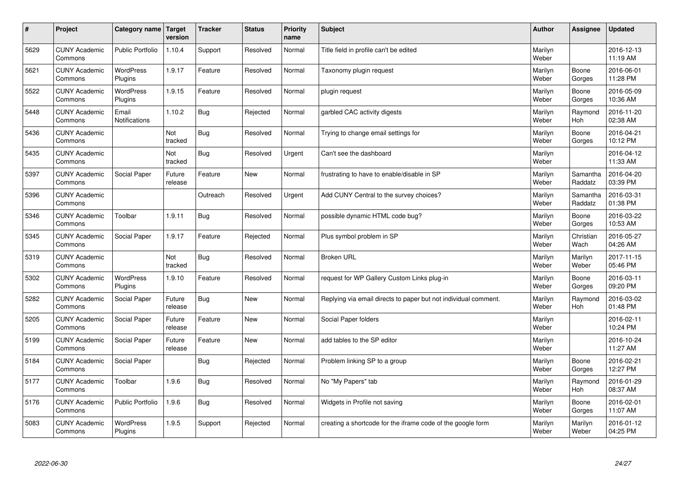| $\pmb{\#}$ | Project                         | Category name               | Target<br>version | <b>Tracker</b> | <b>Status</b> | <b>Priority</b><br>name | <b>Subject</b>                                                  | <b>Author</b>    | Assignee              | <b>Updated</b>         |
|------------|---------------------------------|-----------------------------|-------------------|----------------|---------------|-------------------------|-----------------------------------------------------------------|------------------|-----------------------|------------------------|
| 5629       | <b>CUNY Academic</b><br>Commons | <b>Public Portfolio</b>     | 1.10.4            | Support        | Resolved      | Normal                  | Title field in profile can't be edited                          | Marilyn<br>Weber |                       | 2016-12-13<br>11:19 AM |
| 5621       | <b>CUNY Academic</b><br>Commons | <b>WordPress</b><br>Plugins | 1.9.17            | Feature        | Resolved      | Normal                  | Taxonomy plugin request                                         | Marilyn<br>Weber | Boone<br>Gorges       | 2016-06-01<br>11:28 PM |
| 5522       | <b>CUNY Academic</b><br>Commons | <b>WordPress</b><br>Plugins | 1.9.15            | Feature        | Resolved      | Normal                  | plugin request                                                  | Marilyn<br>Weber | Boone<br>Gorges       | 2016-05-09<br>10:36 AM |
| 5448       | <b>CUNY Academic</b><br>Commons | Email<br>Notifications      | 1.10.2            | <b>Bug</b>     | Rejected      | Normal                  | garbled CAC activity digests                                    | Marilyn<br>Weber | Raymond<br><b>Hoh</b> | 2016-11-20<br>02:38 AM |
| 5436       | <b>CUNY Academic</b><br>Commons |                             | Not<br>tracked    | <b>Bug</b>     | Resolved      | Normal                  | Trying to change email settings for                             | Marilyn<br>Weber | Boone<br>Gorges       | 2016-04-21<br>10:12 PM |
| 5435       | <b>CUNY Academic</b><br>Commons |                             | Not<br>tracked    | Bug            | Resolved      | Urgent                  | Can't see the dashboard                                         | Marilyn<br>Weber |                       | 2016-04-12<br>11:33 AM |
| 5397       | <b>CUNY Academic</b><br>Commons | Social Paper                | Future<br>release | Feature        | <b>New</b>    | Normal                  | frustrating to have to enable/disable in SP                     | Marilyn<br>Weber | Samantha<br>Raddatz   | 2016-04-20<br>03:39 PM |
| 5396       | <b>CUNY Academic</b><br>Commons |                             |                   | Outreach       | Resolved      | Urgent                  | Add CUNY Central to the survey choices?                         | Marilyn<br>Weber | Samantha<br>Raddatz   | 2016-03-31<br>01:38 PM |
| 5346       | <b>CUNY Academic</b><br>Commons | Toolbar                     | 1.9.11            | Bug            | Resolved      | Normal                  | possible dynamic HTML code bug?                                 | Marilyn<br>Weber | Boone<br>Gorges       | 2016-03-22<br>10:53 AM |
| 5345       | <b>CUNY Academic</b><br>Commons | Social Paper                | 1.9.17            | Feature        | Rejected      | Normal                  | Plus symbol problem in SP                                       | Marilyn<br>Weber | Christian<br>Wach     | 2016-05-27<br>04:26 AM |
| 5319       | <b>CUNY Academic</b><br>Commons |                             | Not<br>tracked    | <b>Bug</b>     | Resolved      | Normal                  | <b>Broken URL</b>                                               | Marilyn<br>Weber | Marilyn<br>Weber      | 2017-11-15<br>05:46 PM |
| 5302       | <b>CUNY Academic</b><br>Commons | <b>WordPress</b><br>Plugins | 1.9.10            | Feature        | Resolved      | Normal                  | request for WP Gallery Custom Links plug-in                     | Marilyn<br>Weber | Boone<br>Gorges       | 2016-03-11<br>09:20 PM |
| 5282       | <b>CUNY Academic</b><br>Commons | Social Paper                | Future<br>release | <b>Bug</b>     | <b>New</b>    | Normal                  | Replying via email directs to paper but not individual comment. | Marilyn<br>Weber | Raymond<br>Hoh        | 2016-03-02<br>01:48 PM |
| 5205       | <b>CUNY Academic</b><br>Commons | Social Paper                | Future<br>release | Feature        | <b>New</b>    | Normal                  | Social Paper folders                                            | Marilyn<br>Weber |                       | 2016-02-11<br>10:24 PM |
| 5199       | <b>CUNY Academic</b><br>Commons | Social Paper                | Future<br>release | Feature        | <b>New</b>    | Normal                  | add tables to the SP editor                                     | Marilyn<br>Weber |                       | 2016-10-24<br>11:27 AM |
| 5184       | <b>CUNY Academic</b><br>Commons | Social Paper                |                   | Bug            | Rejected      | Normal                  | Problem linking SP to a group                                   | Marilyn<br>Weber | Boone<br>Gorges       | 2016-02-21<br>12:27 PM |
| 5177       | <b>CUNY Academic</b><br>Commons | Toolbar                     | 1.9.6             | <b>Bug</b>     | Resolved      | Normal                  | No "My Papers" tab                                              | Marilyn<br>Weber | Raymond<br><b>Hoh</b> | 2016-01-29<br>08:37 AM |
| 5176       | <b>CUNY Academic</b><br>Commons | Public Portfolio            | 1.9.6             | <b>Bug</b>     | Resolved      | Normal                  | Widgets in Profile not saving                                   | Marilyn<br>Weber | Boone<br>Gorges       | 2016-02-01<br>11:07 AM |
| 5083       | <b>CUNY Academic</b><br>Commons | <b>WordPress</b><br>Plugins | 1.9.5             | Support        | Rejected      | Normal                  | creating a shortcode for the iframe code of the google form     | Marilyn<br>Weber | Marilyn<br>Weber      | 2016-01-12<br>04:25 PM |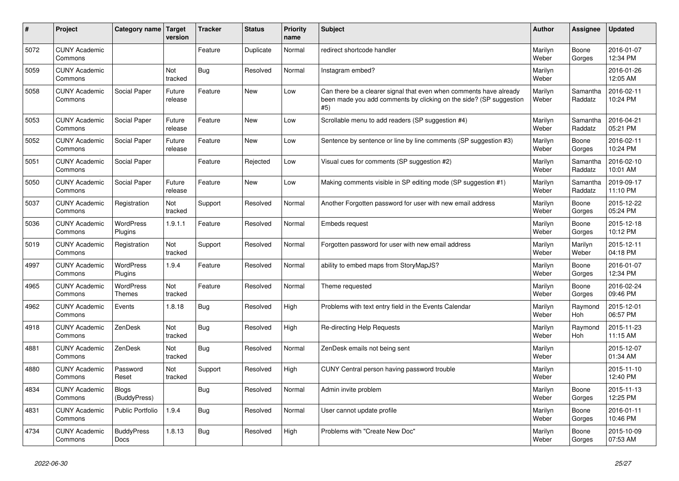| $\#$ | Project                         | <b>Category name</b>       | Target<br>version | <b>Tracker</b> | <b>Status</b> | <b>Priority</b><br>name | Subject                                                                                                                                         | Author           | Assignee              | <b>Updated</b>         |
|------|---------------------------------|----------------------------|-------------------|----------------|---------------|-------------------------|-------------------------------------------------------------------------------------------------------------------------------------------------|------------------|-----------------------|------------------------|
| 5072 | <b>CUNY Academic</b><br>Commons |                            |                   | Feature        | Duplicate     | Normal                  | redirect shortcode handler                                                                                                                      | Marilyn<br>Weber | Boone<br>Gorges       | 2016-01-07<br>12:34 PM |
| 5059 | <b>CUNY Academic</b><br>Commons |                            | Not<br>tracked    | Bug            | Resolved      | Normal                  | Instagram embed?                                                                                                                                | Marilyn<br>Weber |                       | 2016-01-26<br>12:05 AM |
| 5058 | <b>CUNY Academic</b><br>Commons | Social Paper               | Future<br>release | Feature        | New           | Low                     | Can there be a clearer signal that even when comments have already<br>been made you add comments by clicking on the side? (SP suggestion<br>#5) | Marilyn<br>Weber | Samantha<br>Raddatz   | 2016-02-11<br>10:24 PM |
| 5053 | <b>CUNY Academic</b><br>Commons | Social Paper               | Future<br>release | Feature        | <b>New</b>    | Low                     | Scrollable menu to add readers (SP suggestion #4)                                                                                               | Marilyn<br>Weber | Samantha<br>Raddatz   | 2016-04-21<br>05:21 PM |
| 5052 | <b>CUNY Academic</b><br>Commons | Social Paper               | Future<br>release | Feature        | New           | Low                     | Sentence by sentence or line by line comments (SP suggestion #3)                                                                                | Marilyn<br>Weber | Boone<br>Gorges       | 2016-02-11<br>10:24 PM |
| 5051 | <b>CUNY Academic</b><br>Commons | Social Paper               |                   | Feature        | Rejected      | Low                     | Visual cues for comments (SP suggestion #2)                                                                                                     | Marilyn<br>Weber | Samantha<br>Raddatz   | 2016-02-10<br>10:01 AM |
| 5050 | <b>CUNY Academic</b><br>Commons | Social Paper               | Future<br>release | Feature        | New           | Low                     | Making comments visible in SP editing mode (SP suggestion #1)                                                                                   | Marilyn<br>Weber | Samantha<br>Raddatz   | 2019-09-17<br>11:10 PM |
| 5037 | <b>CUNY Academic</b><br>Commons | Registration               | Not<br>tracked    | Support        | Resolved      | Normal                  | Another Forgotten password for user with new email address                                                                                      | Marilyn<br>Weber | Boone<br>Gorges       | 2015-12-22<br>05:24 PM |
| 5036 | <b>CUNY Academic</b><br>Commons | WordPress<br>Plugins       | 1.9.1.1           | Feature        | Resolved      | Normal                  | Embeds request                                                                                                                                  | Marilyn<br>Weber | Boone<br>Gorges       | 2015-12-18<br>10:12 PM |
| 5019 | <b>CUNY Academic</b><br>Commons | Registration               | Not<br>tracked    | Support        | Resolved      | Normal                  | Forgotten password for user with new email address                                                                                              | Marilyn<br>Weber | Marilyn<br>Weber      | 2015-12-11<br>04:18 PM |
| 4997 | <b>CUNY Academic</b><br>Commons | WordPress<br>Plugins       | 1.9.4             | Feature        | Resolved      | Normal                  | ability to embed maps from StoryMapJS?                                                                                                          | Marilyn<br>Weber | Boone<br>Gorges       | 2016-01-07<br>12:34 PM |
| 4965 | <b>CUNY Academic</b><br>Commons | <b>WordPress</b><br>Themes | Not<br>tracked    | Feature        | Resolved      | Normal                  | Theme requested                                                                                                                                 | Marilyn<br>Weber | Boone<br>Gorges       | 2016-02-24<br>09:46 PM |
| 4962 | <b>CUNY Academic</b><br>Commons | Events                     | 1.8.18            | Bug            | Resolved      | High                    | Problems with text entry field in the Events Calendar                                                                                           | Marilyn<br>Weber | Raymond<br><b>Hoh</b> | 2015-12-01<br>06:57 PM |
| 4918 | <b>CUNY Academic</b><br>Commons | ZenDesk                    | Not<br>tracked    | Bug            | Resolved      | High                    | Re-directing Help Requests                                                                                                                      | Marilyn<br>Weber | Raymond<br><b>Hoh</b> | 2015-11-23<br>11:15 AM |
| 4881 | <b>CUNY Academic</b><br>Commons | ZenDesk                    | Not<br>tracked    | Bug            | Resolved      | Normal                  | ZenDesk emails not being sent                                                                                                                   | Marilyn<br>Weber |                       | 2015-12-07<br>01:34 AM |
| 4880 | <b>CUNY Academic</b><br>Commons | Password<br>Reset          | Not<br>tracked    | Support        | Resolved      | High                    | CUNY Central person having password trouble                                                                                                     | Marilyn<br>Weber |                       | 2015-11-10<br>12:40 PM |
| 4834 | <b>CUNY Academic</b><br>Commons | Blogs<br>(BuddyPress)      |                   | <b>Bug</b>     | Resolved      | Normal                  | Admin invite problem                                                                                                                            | Marilyn<br>Weber | Boone<br>Gorges       | 2015-11-13<br>12:25 PM |
| 4831 | <b>CUNY Academic</b><br>Commons | Public Portfolio           | 1.9.4             | Bug            | Resolved      | Normal                  | User cannot update profile                                                                                                                      | Marilyn<br>Weber | Boone<br>Gorges       | 2016-01-11<br>10:46 PM |
| 4734 | <b>CUNY Academic</b><br>Commons | <b>BuddyPress</b><br>Docs  | 1.8.13            | Bug            | Resolved      | High                    | Problems with "Create New Doc"                                                                                                                  | Marilyn<br>Weber | Boone<br>Gorges       | 2015-10-09<br>07:53 AM |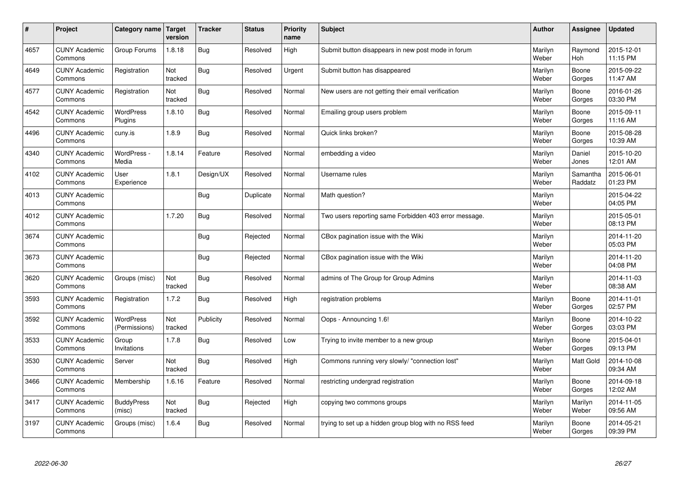| $\sharp$ | Project                         | Category name   Target            | version        | <b>Tracker</b> | <b>Status</b> | Priority<br>name | <b>Subject</b>                                        | <b>Author</b>    | Assignee              | <b>Updated</b>         |
|----------|---------------------------------|-----------------------------------|----------------|----------------|---------------|------------------|-------------------------------------------------------|------------------|-----------------------|------------------------|
| 4657     | <b>CUNY Academic</b><br>Commons | Group Forums                      | 1.8.18         | <b>Bug</b>     | Resolved      | High             | Submit button disappears in new post mode in forum    | Marilyn<br>Weber | Raymond<br><b>Hoh</b> | 2015-12-01<br>11:15 PM |
| 4649     | <b>CUNY Academic</b><br>Commons | Registration                      | Not<br>tracked | Bug            | Resolved      | Urgent           | Submit button has disappeared                         | Marilyn<br>Weber | Boone<br>Gorges       | 2015-09-22<br>11:47 AM |
| 4577     | <b>CUNY Academic</b><br>Commons | Registration                      | Not<br>tracked | Bug            | Resolved      | Normal           | New users are not getting their email verification    | Marilyn<br>Weber | Boone<br>Gorges       | 2016-01-26<br>03:30 PM |
| 4542     | <b>CUNY Academic</b><br>Commons | <b>WordPress</b><br>Plugins       | 1.8.10         | Bug            | Resolved      | Normal           | Emailing group users problem                          | Marilyn<br>Weber | Boone<br>Gorges       | 2015-09-11<br>11:16 AM |
| 4496     | <b>CUNY Academic</b><br>Commons | cuny.is                           | 1.8.9          | <b>Bug</b>     | Resolved      | Normal           | Quick links broken?                                   | Marilyn<br>Weber | Boone<br>Gorges       | 2015-08-28<br>10:39 AM |
| 4340     | <b>CUNY Academic</b><br>Commons | WordPress -<br>Media              | 1.8.14         | Feature        | Resolved      | Normal           | embedding a video                                     | Marilyn<br>Weber | Daniel<br>Jones       | 2015-10-20<br>12:01 AM |
| 4102     | <b>CUNY Academic</b><br>Commons | User<br>Experience                | 1.8.1          | Design/UX      | Resolved      | Normal           | Username rules                                        | Marilyn<br>Weber | Samantha<br>Raddatz   | 2015-06-01<br>01:23 PM |
| 4013     | <b>CUNY Academic</b><br>Commons |                                   |                | Bug            | Duplicate     | Normal           | Math question?                                        | Marilyn<br>Weber |                       | 2015-04-22<br>04:05 PM |
| 4012     | <b>CUNY Academic</b><br>Commons |                                   | 1.7.20         | Bug            | Resolved      | Normal           | Two users reporting same Forbidden 403 error message. | Marilyn<br>Weber |                       | 2015-05-01<br>08:13 PM |
| 3674     | <b>CUNY Academic</b><br>Commons |                                   |                | Bug            | Rejected      | Normal           | CBox pagination issue with the Wiki                   | Marilyn<br>Weber |                       | 2014-11-20<br>05:03 PM |
| 3673     | <b>CUNY Academic</b><br>Commons |                                   |                | <b>Bug</b>     | Rejected      | Normal           | CBox pagination issue with the Wiki                   | Marilyn<br>Weber |                       | 2014-11-20<br>04:08 PM |
| 3620     | <b>CUNY Academic</b><br>Commons | Groups (misc)                     | Not<br>tracked | Bug            | Resolved      | Normal           | admins of The Group for Group Admins                  | Marilyn<br>Weber |                       | 2014-11-03<br>08:38 AM |
| 3593     | <b>CUNY Academic</b><br>Commons | Registration                      | 1.7.2          | Bug            | Resolved      | High             | registration problems                                 | Marilyn<br>Weber | Boone<br>Gorges       | 2014-11-01<br>02:57 PM |
| 3592     | <b>CUNY Academic</b><br>Commons | <b>WordPress</b><br>(Permissions) | Not<br>tracked | Publicity      | Resolved      | Normal           | Oops - Announcing 1.6!                                | Marilyn<br>Weber | Boone<br>Gorges       | 2014-10-22<br>03:03 PM |
| 3533     | <b>CUNY Academic</b><br>Commons | Group<br>Invitations              | 1.7.8          | Bug            | Resolved      | Low              | Trying to invite member to a new group                | Marilyn<br>Weber | Boone<br>Gorges       | 2015-04-01<br>09:13 PM |
| 3530     | <b>CUNY Academic</b><br>Commons | Server                            | Not<br>tracked | <b>Bug</b>     | Resolved      | High             | Commons running very slowly/ "connection lost"        | Marilyn<br>Weber | Matt Gold             | 2014-10-08<br>09:34 AM |
| 3466     | <b>CUNY Academic</b><br>Commons | Membership                        | 1.6.16         | Feature        | Resolved      | Normal           | restricting undergrad registration                    | Marilyn<br>Weber | Boone<br>Gorges       | 2014-09-18<br>12:02 AM |
| 3417     | <b>CUNY Academic</b><br>Commons | <b>BuddyPress</b><br>(misc)       | Not<br>tracked | <b>Bug</b>     | Rejected      | High             | copying two commons groups                            | Marilyn<br>Weber | Marilyn<br>Weber      | 2014-11-05<br>09:56 AM |
| 3197     | <b>CUNY Academic</b><br>Commons | Groups (misc)                     | 1.6.4          | <b>Bug</b>     | Resolved      | Normal           | trying to set up a hidden group blog with no RSS feed | Marilyn<br>Weber | Boone<br>Gorges       | 2014-05-21<br>09:39 PM |